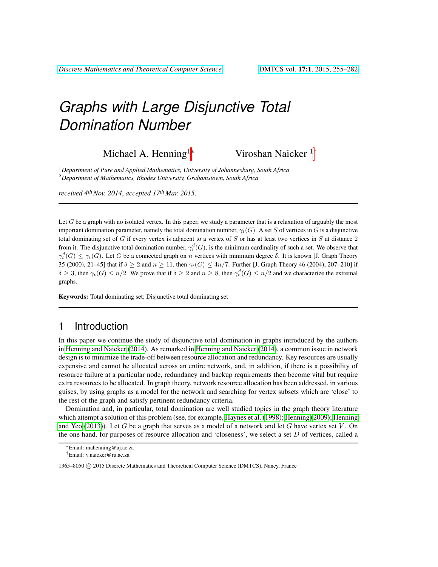# *Graphs with Large Disjunctive Total Domination Number*

Michael A. Henning<sup>1∗</sup> Viroshan Naicker<sup>1†</sup>

<sup>1</sup>*Department of Pure and Applied Mathematics, University of Johannesburg, South Africa* <sup>2</sup>*Department of Mathematics, Rhodes University, Grahamstown, South Africa*

*received 4thNov. 2014*, *accepted 17th Mar. 2015*.

Let  $G$  be a graph with no isolated vertex. In this paper, we study a parameter that is a relaxation of arguably the most important domination parameter, namely the total domination number,  $\gamma_t(G)$ . A set S of vertices in G is a disjunctive total dominating set of  $G$  if every vertex is adjacent to a vertex of  $S$  or has at least two vertices in  $S$  at distance  $2$ from it. The disjunctive total domination number,  $\gamma_t^d(G)$ , is the minimum cardinality of such a set. We observe that  $\gamma_t^d(G) \leq \gamma_t(G)$ . Let G be a connected graph on n vertices with minimum degree  $\delta$ . It is known [J. Graph Theory 35 (2000), 21–45] that if  $\delta \ge 2$  and  $n \ge 11$ , then  $\gamma_t(G) \le 4n/7$ . Further [J. Graph Theory 46 (2004), 207–210] if  $\delta \geq 3$ , then  $\gamma_t(G) \leq n/2$ . We prove that if  $\delta \geq 2$  and  $n \geq 8$ , then  $\gamma_t^d(G) \leq n/2$  and we characterize the extremal graphs.

Keywords: Total dominating set; Disjunctive total dominating set

### 1 Introduction

In this paper we continue the study of disjunctive total domination in graphs introduced by the authors in [Henning and Naicker](#page-26-0) [\(2014\)](#page-26-0). As remarked in [Henning and Naicker](#page-26-0) [\(2014\)](#page-26-0), a common issue in network design is to minimize the trade-off between resource allocation and redundancy. Key resources are usually expensive and cannot be allocated across an entire network, and, in addition, if there is a possibility of resource failure at a particular node, redundancy and backup requirements then become vital but require extra resources to be allocated. In graph theory, network resource allocation has been addressed, in various guises, by using graphs as a model for the network and searching for vertex subsets which are 'close' to the rest of the graph and satisfy pertinent redundancy criteria.

Domination and, in particular, total domination are well studied topics in the graph theory literature which attempt a solution of this problem (see, for example, [Haynes et al.](#page-26-1) [\(1998\)](#page-26-1); [Henning](#page-26-3) [\(2009\)](#page-26-2); Henning [and Yeo](#page-26-3) [\(2013\)](#page-26-3)). Let G be a graph that serves as a model of a network and let G have vertex set V. On the one hand, for purposes of resource allocation and 'closeness', we select a set  $D$  of vertices, called a

<sup>∗</sup>Email: mahenning@uj.ac.za

<sup>†</sup>Email: v.naicker@ru.ac.za

<sup>1365–8050 (</sup>C) 2015 Discrete Mathematics and Theoretical Computer Science (DMTCS), Nancy, France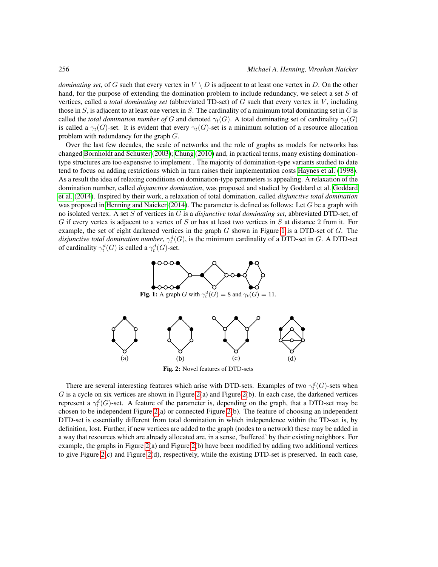*dominating set*, of G such that every vertex in  $V \setminus D$  is adjacent to at least one vertex in D. On the other hand, for the purpose of extending the domination problem to include redundancy, we select a set  $S$  of vertices, called a *total dominating set* (abbreviated TD-set) of G such that every vertex in V , including those in  $S$ , is adjacent to at least one vertex in  $S$ . The cardinality of a minimum total dominating set in  $G$  is called the *total domination number of* G and denoted  $\gamma_t(G)$ . A total dominating set of cardinality  $\gamma_t(G)$ is called a  $\gamma_t(G)$ -set. It is evident that every  $\gamma_t(G)$ -set is a minimum solution of a resource allocation problem with redundancy for the graph G.

Over the last few decades, the scale of networks and the role of graphs as models for networks has changed [Bornholdt and Schuster](#page-26-4) [\(2003\)](#page-26-4); [Chung](#page-26-5) [\(2010\)](#page-26-5) and, in practical terms, many existing dominationtype structures are too expensive to implement . The majority of domination-type variants studied to date tend to focus on adding restrictions which in turn raises their implementation costs [Haynes et al.](#page-26-1) [\(1998\)](#page-26-1). As a result the idea of relaxing conditions on domination-type parameters is appealing. A relaxation of the domination number, called *disjunctive domination*, was proposed and studied by Goddard et al. [Goddard](#page-26-6) [et al.](#page-26-6) [\(2014\)](#page-26-6). Inspired by their work, a relaxation of total domination, called *disjunctive total domination* was proposed in [Henning and Naicker](#page-26-0) [\(2014\)](#page-26-0). The parameter is defined as follows: Let  $G$  be a graph with no isolated vertex. A set S of vertices in G is a *disjunctive total dominating set*, abbreviated DTD-set, of G if every vertex is adjacent to a vertex of S or has at least two vertices in S at distance 2 from it. For example, the set of eight darkened vertices in the graph  $G$  shown in Figure [1](#page-1-0) is a DTD-set of  $G$ . The *disjunctive total domination number*,  $\gamma_t^d(G)$ , is the minimum cardinality of a DTD-set in G. A DTD-set of cardinality  $\gamma_t^d(G)$  is called a  $\gamma_t^d(G)$ -set.

<span id="page-1-0"></span>

<span id="page-1-1"></span>Fig. 2: Novel features of DTD-sets

There are several interesting features which arise with DTD-sets. Examples of two  $\gamma_t^d(G)$ -sets when  $G$  is a cycle on six vertices are shown in Figure [2\(](#page-1-1)a) and Figure 2(b). In each case, the darkened vertices represent a  $\gamma_t^d(G)$ -set. A feature of the parameter is, depending on the graph, that a DTD-set may be chosen to be independent Figure [2\(](#page-1-1)a) or connected Figure [2\(](#page-1-1)b). The feature of choosing an independent DTD-set is essentially different from total domination in which independence within the TD-set is, by definition, lost. Further, if new vertices are added to the graph (nodes to a network) these may be added in a way that resources which are already allocated are, in a sense, 'buffered' by their existing neighbors. For example, the graphs in Figure [2\(](#page-1-1)a) and Figure [2\(](#page-1-1)b) have been modified by adding two additional vertices to give Figure [2\(](#page-1-1)c) and Figure [2\(](#page-1-1)d), respectively, while the existing DTD-set is preserved. In each case,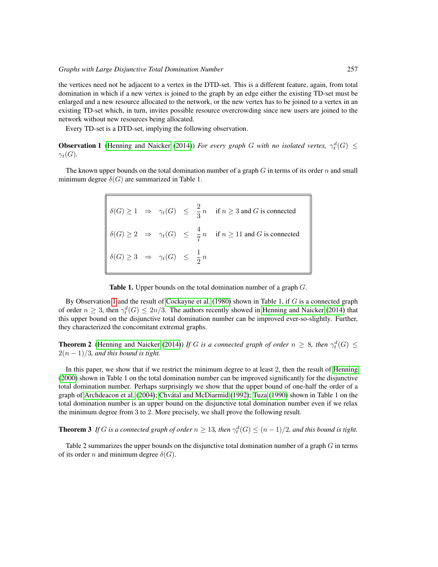the vertices need not be adjacent to a vertex in the DTD-set. This is a different feature, again, from total domination in which if a new vertex is joined to the graph by an edge either the existing TD-set must be enlarged and a new resource allocated to the network, or the new vertex has to be joined to a vertex in an existing TD-set which, in turn, invites possible resource overcrowding since new users are joined to the network without new resources being allocated.

<span id="page-2-0"></span>Every TD-set is a DTD-set, implying the following observation.

**Observation 1** [\(Henning and Naicker](#page-26-0) [\(2014\)](#page-26-0)) *For every graph G with no isolated vertex,*  $\gamma_t^d(G) \leq$  $\gamma_t(G)$ .

The known upper bounds on the total domination number of a graph  $G$  in terms of its order n and small minimum degree  $\delta(G)$  are summarized in Table 1.

> $\delta(G) \geq 1 \Rightarrow \gamma_t(G) \leq \frac{2}{3}$  $\frac{2}{3}n$  if  $n \geq 3$  and G is connected  $\delta(G) \geq 2 \Rightarrow \gamma_t(G) \leq \frac{4}{7}$  $\frac{1}{7}n$  if  $n \ge 11$  and G is connected  $\delta(G) \geq 3 \Rightarrow \gamma_t(G) \leq \frac{1}{2}$  $\frac{1}{2}n$

Table 1. Upper bounds on the total domination number of a graph G.

By Observation [1](#page-2-0) and the result of [Cockayne et al.](#page-26-7) [\(1980\)](#page-26-7) shown in Table 1, if  $G$  is a connected graph of order  $n \geq 3$ , then  $\gamma_t^d(G) \leq 2n/3$ . The authors recently showed in [Henning and Naicker](#page-26-0) [\(2014\)](#page-26-0) that this upper bound on the disjunctive total domination number can be improved ever-so-slightly. Further, they characterized the concomitant extremal graphs.

<span id="page-2-1"></span>**Theorem 2** [\(Henning and Naicker](#page-26-0) [\(2014\)](#page-26-0)) *If* G is a connected graph of order  $n \geq 8$ , then  $\gamma_t^d(G) \leq$  $2(n-1)/3$ *, and this bound is tight.* 

In this paper, we show that if we restrict the minimum degree to at least 2, then the result of [Henning](#page-26-8) [\(2000\)](#page-26-8) shown in Table 1 on the total domination number can be improved significantly for the disjunctive total domination number. Perhaps surprisingly we show that the upper bound of one-half the order of a graph of [Archdeacon et al.](#page-26-9) [\(2004\)](#page-26-9); Chvátal and McDiarmid [\(1992\)](#page-26-10); [Tuza](#page-26-11) [\(1990\)](#page-26-11) shown in Table 1 on the total domination number is an upper bound on the disjunctive total domination number even if we relax the minimum degree from 3 to 2. More precisely, we shall prove the following result.

<span id="page-2-2"></span>**Theorem 3** If G is a connected graph of order  $n \geq 13$ , then  $\gamma_t^d(G) \leq (n-1)/2$ , and this bound is tight.

Table 2 summarizes the upper bounds on the disjunctive total domination number of a graph  $G$  in terms of its order *n* and minimum degree  $\delta(G)$ .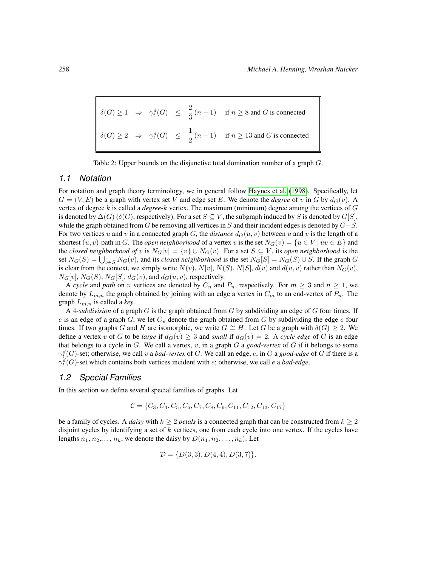# $\delta(G) \geq 1 \Rightarrow \gamma_t^d(G) \leq \frac{2}{3}$  $\frac{2}{3}(n-1)$  if  $n \ge 8$  and G is connected  $\delta(G) \geq 2 \Rightarrow \gamma_t^d(G) \leq \frac{1}{2}$  $\frac{1}{2}(n-1)$  if  $n \ge 13$  and G is connected

Table 2: Upper bounds on the disjunctive total domination number of a graph  $G$ .

#### *1.1 Notation*

For notation and graph theory terminology, we in general follow [Haynes et al.](#page-26-1) [\(1998\)](#page-26-1). Specifically, let  $G = (V, E)$  be a graph with vertex set V and edge set E. We denote the *degree* of v in G by  $d_G(v)$ . A vertex of degree k is called a *degree*-k vertex. The maximum (minimum) degree among the vertices of G is denoted by  $\Delta(G)$  ( $\delta(G)$ , respectively). For a set  $S \subseteq V$ , the subgraph induced by S is denoted by  $G[S]$ , while the graph obtained from G be removing all vertices in S and their incident edges is denoted by  $G-S$ . For two vertices u and v in a connected graph  $G$ , the *distance*  $d_G(u, v)$  between u and v is the length of a shortest  $(u, v)$ -path in G. The *open neighborhood* of a vertex v is the set  $N_G(v) = \{u \in V | uv \in E\}$  and the *closed neighborhood of* v is  $N_G[v] = \{v\} \cup N_G(v)$ . For a set  $S \subseteq V$ , its *open neighborhood* is the set  $N_G(S) = \bigcup_{v \in S} N_G(v)$ , and its *closed neighborhood* is the set  $N_G[S] = N_G(S) \cup S$ . If the graph G is clear from the context, we simply write  $N(v)$ ,  $N[v]$ ,  $N(S)$ ,  $N[S]$ ,  $d(v)$  and  $d(u, v)$  rather than  $N_G(v)$ ,  $N_G[v]$ ,  $N_G(S)$ ,  $N_G[S]$ ,  $d_G(v)$ , and  $d_G(u, v)$ , respectively.

A *cycle* and *path* on *n* vertices are denoted by  $C_n$  and  $P_n$ , respectively. For  $m \geq 3$  and  $n \geq 1$ , we denote by  $L_{m,n}$  the graph obtained by joining with an edge a vertex in  $C_m$  to an end-vertex of  $P_n$ . The graph Lm,n is called a *key*.

A 4-*subdivision* of a graph  $G$  is the graph obtained from  $G$  by subdividing an edge of  $G$  four times. If e is an edge of a graph G, we let  $G_e$  denote the graph obtained from G by subdividing the edge e four times. If two graphs G and H are isomorphic, we write  $G \cong H$ . Let G be a graph with  $\delta(G) \geq 2$ . We define a vertex v of G to be *large* if  $d_G(v) \geq 3$  and *small* if  $d_G(v) = 2$ . A cycle edge of G is an edge that belongs to a cycle in G. We call a vertex, v, in a graph G a *good-vertex* of G if it belongs to some  $\gamma_t^d(G)$ -set; otherwise, we call v a *bad-vertex* of G. We call an edge, e, in G a *good-edge* of G if there is a  $\gamma_t^d(G)$ -set which contains both vertices incident with *e*; otherwise, we call *e* a *bad-edge*.

#### <span id="page-3-0"></span>*1.2 Special Families*

In this section we define several special families of graphs. Let

$$
\mathcal{C} = \{C_3, C_4, C_5, C_6, C_7, C_8, C_9, C_{11}, C_{12}, C_{13}, C_{17}\}
$$

be a family of cycles. A *daisy* with  $k \geq 2$  *petals* is a connected graph that can be constructed from  $k \geq 2$ disjoint cycles by identifying a set of  $k$  vertices, one from each cycle into one vertex. If the cycles have lengths  $n_1, n_2, \ldots, n_k$ , we denote the daisy by  $D(n_1, n_2, \ldots, n_k)$ . Let

$$
\mathcal{D} = \{D(3,3), D(4,4), D(3,7)\}.
$$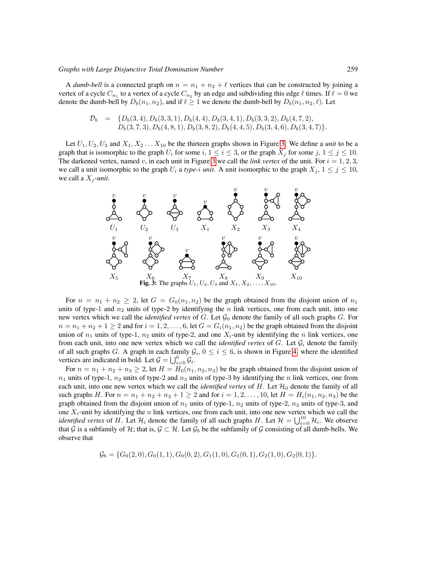A *dumb-bell* is a connected graph on  $n = n_1 + n_2 + \ell$  vertices that can be constructed by joining a vertex of a cycle  $C_{n_1}$  to a vertex of a cycle  $C_{n_2}$  by an edge and subdividing this edge  $\ell$  times. If  $\ell = 0$  we denote the dumb-bell by  $D_b(n_1, n_2)$ , and if  $\ell \geq 1$  we denote the dumb-bell by  $D_b(n_1, n_2, \ell)$ . Let

$$
\mathcal{D}_b = \{D_b(3,4), D_b(3,3,1), D_b(4,4), D_b(3,4,1), D_b(3,3,2), D_b(4,7,2), D_b(3,7,3), D_b(4,8,1), D_b(3,8,2), D_b(4,4,5), D_b(3,4,6), D_b(3,4,7)\}.
$$

Let  $U_1, U_2, U_3$  and  $X_1, X_2, \ldots, X_{10}$  be the thirteen graphs shown in Figure [3.](#page-4-0) We define a *unit* to be a graph that is isomorphic to the graph  $U_i$  for some  $i, 1 \le i \le 3$ , or the graph  $X_i$  for some  $j, 1 \le j \le 10$ . The darkened vertex, named v, in each unit in Figure [3](#page-4-0) we call the *link vertex* of the unit. For  $i = 1, 2, 3$ , we call a unit isomorphic to the graph  $U_i$  a *type-i unit*. A unit isomorphic to the graph  $X_j$ ,  $1 \leq j \leq 10$ , we call a  $X_i$ -*unit*.



<span id="page-4-0"></span>For  $n = n_1 + n_2 \geq 2$ , let  $G = G_0(n_1, n_2)$  be the graph obtained from the disjoint union of  $n_1$ units of type-1 and  $n_2$  units of type-2 by identifying the n link vertices, one from each unit, into one new vertex which we call the *identified vertex* of  $G$ . Let  $\mathcal{G}_0$  denote the family of all such graphs  $G$ . For  $n = n_1 + n_2 + 1 \ge 2$  and for  $i = 1, 2, \ldots, 6$ , let  $G = G_i(n_1, n_2)$  be the graph obtained from the disjoint union of  $n_1$  units of type-1,  $n_2$  units of type-2, and one  $X_i$ -unit by identifying the n link vertices, one from each unit, into one new vertex which we call the *identified vertex* of  $G$ . Let  $G_i$  denote the family of all such graphs G. A graph in each family  $\mathcal{G}_i$ ,  $0 \le i \le 6$ , is shown in Figure [4,](#page-5-0) where the identified vertices are indicated in bold. Let  $\mathcal{G} = \bigcup_{i=0}^{6} \mathcal{G}_i$ .

For  $n = n_1 + n_2 + n_3 \ge 2$ , let  $H = H_0(n_1, n_2, n_3)$  be the graph obtained from the disjoint union of  $n_1$  units of type-1,  $n_2$  units of type-2 and  $n_3$  units of type-3 by identifying the n link vertices, one from each unit, into one new vertex which we call the *identified vertex* of H. Let  $\mathcal{H}_0$  denote the family of all such graphs H. For  $n = n_1 + n_2 + n_3 + 1 \ge 2$  and for  $i = 1, 2, ..., 10$ , let  $H = H_i(n_1, n_2, n_3)$  be the graph obtained from the disjoint union of  $n_1$  units of type-1,  $n_2$  units of type-2,  $n_3$  units of type-3, and one  $X_i$ -unit by identifying the n link vertices, one from each unit, into one new vertex which we call the *identified vertex* of H. Let  $\mathcal{H}_i$  denote the family of all such graphs H. Let  $\mathcal{H} = \bigcup_{i=0}^{10} \mathcal{H}_i$ . We observe that G is a subfamily of H; that is,  $G \subset H$ . Let  $\mathcal{G}_b$  be the subfamily of G consisting of all dumb-bells. We observe that

$$
\mathcal{G}_b = \{G_0(2,0), G_0(1,1), G_0(0,2), G_1(1,0), G_1(0,1), G_2(1,0), G_2(0,1)\}.
$$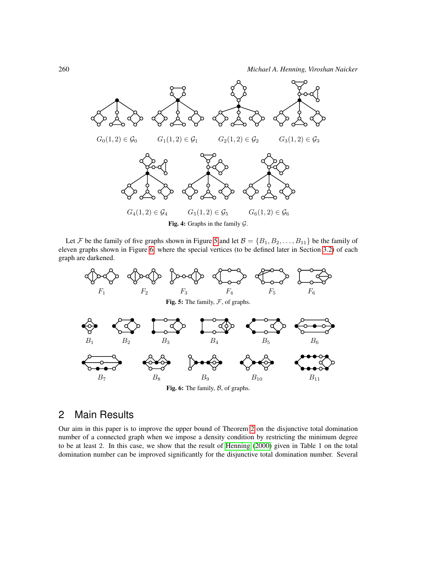

Let F be the family of five graphs shown in Figure [5](#page-5-1) and let  $\mathcal{B} = \{B_1, B_2, \dots, B_{11}\}$  be the family of eleven graphs shown in Figure [6,](#page-5-2) where the special vertices (to be defined later in Section [3.2\)](#page-8-0) of each graph are darkened.

<span id="page-5-0"></span>

<span id="page-5-2"></span><span id="page-5-1"></span>Fig. 6: The family,  $\beta$ , of graphs.

## 2 Main Results

Our aim in this paper is to improve the upper bound of Theorem [2](#page-2-1) on the disjunctive total domination number of a connected graph when we impose a density condition by restricting the minimum degree to be at least 2. In this case, we show that the result of [Henning](#page-26-8) [\(2000\)](#page-26-8) given in Table 1 on the total domination number can be improved significantly for the disjunctive total domination number. Several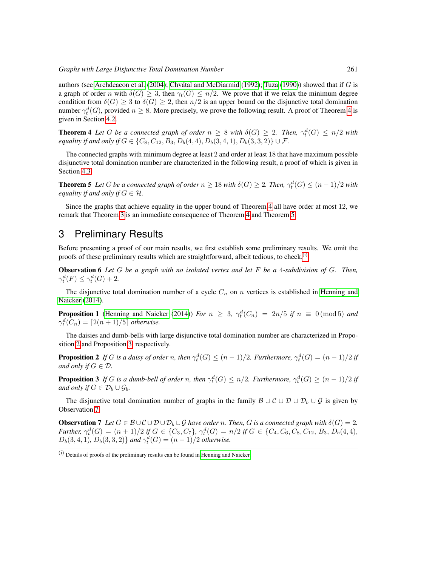authors (see [Archdeacon et al.](#page-26-9) [\(2004\)](#page-26-9); Chvátal and McDiarmid [\(1992\)](#page-26-10); [Tuza](#page-26-11) [\(1990\)](#page-26-11)) showed that if  $G$  is a graph of order n with  $\delta(G) \geq 3$ , then  $\gamma_t(G) \leq n/2$ . We prove that if we relax the minimum degree condition from  $\delta(G) \geq 3$  to  $\delta(G) \geq 2$ , then  $n/2$  is an upper bound on the disjunctive total domination number  $\gamma_t^d(G)$ , provided  $n \geq 8$ . More precisely, we prove the following result. A proof of Theorem [4](#page-6-0) is given in Section [4.2.](#page-25-0)

<span id="page-6-0"></span>**Theorem 4** Let G be a connected graph of order  $n \geq 8$  with  $\delta(G) \geq 2$ . Then,  $\gamma_t^d(G) \leq n/2$  with *equality if and only if*  $G \in \{C_8, C_{12}, B_3, D_b(4,4), D_b(3,4,1), D_b(3,3,2)\} \cup \mathcal{F}$ .

The connected graphs with minimum degree at least 2 and order at least 18 that have maximum possible disjunctive total domination number are characterized in the following result, a proof of which is given in Section [4.3.](#page-26-12)

<span id="page-6-1"></span>**Theorem 5** Let G be a connected graph of order  $n \geq 18$  with  $\delta(G) \geq 2$ . Then,  $\gamma_t^d(G) \leq (n-1)/2$  with *equality if and only if*  $G \in \mathcal{H}$ *.* 

Since the graphs that achieve equality in the upper bound of Theorem [4](#page-6-0) all have order at most 12, we remark that Theorem [3](#page-2-2) is an immediate consequence of Theorem [4](#page-6-0) and Theorem [5.](#page-6-1)

## 3 Preliminary Results

Before presenting a proof of our main results, we first establish some preliminary results. We omit the proofs of these preliminary results which are straightforward, albeit tedious, to check.<sup>[\(i\)](#page-6-2)</sup>

<span id="page-6-7"></span>Observation 6 *Let* G *be a graph with no isolated vertex and let* F *be a* 4*-subdivision of* G*. Then,*  $\gamma_t^d(F) \leq \gamma_t^d(G) + 2.$ 

The disjunctive total domination number of a cycle  $C_n$  on n vertices is established in [Henning and](#page-26-0) [Naicker](#page-26-0) [\(2014\)](#page-26-0).

<span id="page-6-6"></span>**Proposition 1** [\(Henning and Naicker](#page-26-0) [\(2014\)](#page-26-0)) *For*  $n \geq 3$ ,  $\gamma_t^d(C_n) = 2n/5$  *if*  $n \equiv 0 \pmod{5}$  *and*  $\gamma_t^d(C_n) = \lceil 2(n+1)/5 \rceil$  otherwise.

The daisies and dumb-bells with large disjunctive total domination number are characterized in Proposition [2](#page-6-3) and Proposition [3,](#page-6-4) respectively.

<span id="page-6-3"></span>**Proposition 2** If G is a daisy of order n, then  $\gamma_t^d(G) \leq (n-1)/2$ . Furthermore,  $\gamma_t^d(G) = (n-1)/2$  if *and only if*  $G \in \mathcal{D}$ *.* 

<span id="page-6-4"></span>**Proposition 3** If G is a dumb-bell of order n, then  $\gamma_t^d(G) \leq n/2$ . Furthermore,  $\gamma_t^d(G) \geq (n-1)/2$  if *and only if*  $G \in \mathcal{D}_b \cup \mathcal{G}_b$ *.* 

The disjunctive total domination number of graphs in the family  $B \cup C \cup D \cup D_b \cup G$  is given by Observation [7.](#page-6-5)

<span id="page-6-5"></span>**Observation 7** Let  $G \in \mathcal{B} \cup \mathcal{C} \cup \mathcal{D} \cup \mathcal{D}_b \cup \mathcal{G}$  have order n. Then, G is a connected graph with  $\delta(G) = 2$ . *Further,*  $\gamma_t^d(G) = (n+1)/2$  *if*  $G \in \{C_3, C_7\}$ ,  $\gamma_t^d(G) = n/2$  *if*  $G \in \{C_4, C_6, C_8, C_{12}, B_3, D_b(4, 4),$  $D_b(3,4,1)$ ,  $D_b(3,3,2)$ } and  $\gamma_t^d(G) = (n-1)/2$  *otherwise.* 

<span id="page-6-2"></span><sup>(</sup>i) Details of proofs of the preliminary results can be found in [Henning and Naicker.](#page-26-13)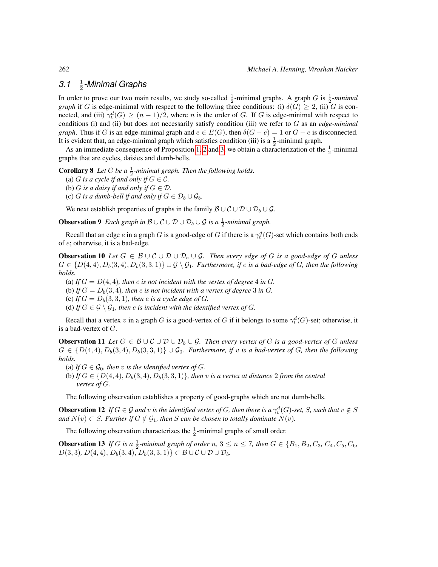#### *3.1* <sup>1</sup> 2 *-Minimal Graphs*

In order to prove our two main results, we study so-called  $\frac{1}{2}$ -minimal graphs. A graph G is  $\frac{1}{2}$ -minimal *graph* if G is edge-minimal with respect to the following three conditions: (i)  $\delta(G) \geq 2$ , (ii) G is connected, and (iii)  $\gamma_t^d(G) \ge (n-1)/2$ , where n is the order of G. If G is edge-minimal with respect to conditions (i) and (ii) but does not necessarily satisfy condition (iii) we refer to G as an *edge-minimal graph*. Thus if G is an edge-minimal graph and  $e \in E(G)$ , then  $\delta(G - e) = 1$  or  $G - e$  is disconnected. It is evident that, an edge-minimal graph which satisfies condition (iii) is a  $\frac{1}{2}$ -minimal graph.

As an immediate consequence of Proposition [1,](#page-6-6) [2](#page-6-3) and [3,](#page-6-4) we obtain a characterization of the  $\frac{1}{2}$ -minimal graphs that are cycles, daisies and dumb-bells.

<span id="page-7-2"></span>**Corollary 8** Let G be a  $\frac{1}{2}$ -minimal graph. Then the following holds.

- (a) G is a cycle if and only if  $G \in \mathcal{C}$ .
- (b) *G* is a daisy if and only if  $G \in \mathcal{D}$ .
- (c) G is a dumb-bell if and only if  $G \in \mathcal{D}_b \cup \mathcal{G}_b$ .

We next establish properties of graphs in the family  $\mathcal{B} \cup \mathcal{C} \cup \mathcal{D} \cup \mathcal{D}_b \cup \mathcal{G}$ .

<span id="page-7-0"></span>**Observation 9** Each graph in  $\mathcal{B} \cup \mathcal{C} \cup \mathcal{D} \cup \mathcal{D}_b \cup \mathcal{G}$  is a  $\frac{1}{2}$ -minimal graph.

Recall that an edge  $e$  in a graph G is a good-edge of G if there is a  $\gamma_t^d(G)$ -set which contains both ends of e; otherwise, it is a bad-edge.

<span id="page-7-3"></span>**Observation 10** Let  $G \in \mathcal{B} \cup \mathcal{C} \cup \mathcal{D} \cup \mathcal{D}_b \cup \mathcal{G}$ . Then every edge of G is a good-edge of G unless  $G \in \{D(4,4), D_6(3,4), D_6(3,3,1)\} \cup \mathcal{G} \setminus \mathcal{G}_1$ *. Furthermore, if e is a bad-edge of G, then the following holds.*

(a) If  $G = D(4, 4)$ , then e is not incident with the vertex of degree 4 in G. (b) If  $G = D_b(3, 4)$ , then e is not incident with a vertex of degree 3 in G. (c) If  $G = D_b(3,3,1)$ , then e is a cycle edge of G. (d) If  $G \in \mathcal{G} \setminus \mathcal{G}_1$ , then e is incident with the identified vertex of G.

Recall that a vertex v in a graph G is a good-vertex of G if it belongs to some  $\gamma_t^d(G)$ -set; otherwise, it is a bad-vertex of G.

<span id="page-7-4"></span>**Observation 11** Let  $G \in \mathcal{B} \cup \mathcal{C} \cup \mathcal{D} \cup \mathcal{D}_b \cup \mathcal{G}$ . Then every vertex of G is a good-vertex of G unless  $G \in \{D(4,4), D_b(3,4), D_b(3,3,1)\} \cup \mathcal{G}_0$ . Furthermore, if v is a bad-vertex of G, then the following *holds.*

(a) If  $G \in \mathcal{G}_0$ , then v is the identified vertex of G.

(b) If  $G \in \{D(4, 4), D_6(3, 4), D_6(3, 3, 1)\}\$ , then v is a vertex at distance 2 from the central *vertex of* G*.*

The following observation establishes a property of good-graphs which are not dumb-bells.

<span id="page-7-5"></span>**Observation 12** If  $G \in \mathcal{G}$  and v is the identified vertex of G, then there is a  $\gamma_t^d(G)$ -set, S, such that  $v \notin S$ *and*  $N(v)$  ⊂ *S. Further if*  $G \notin \mathcal{G}_1$ *, then S can be chosen to totally dominate*  $N(v)$ *.* 

The following observation characterizes the  $\frac{1}{2}$ -minimal graphs of small order.

<span id="page-7-1"></span>**Observation 13** If G is a  $\frac{1}{2}$ -minimal graph of order n,  $3 \le n \le 7$ , then  $G \in \{B_1, B_2, C_3, C_4, C_5, C_6,$  $D(3, 3), D(4, 4), D<sub>b</sub>(3, 4), D<sub>b</sub>(3, 3, 1)$ } ⊂  $\mathcal{B} \cup \mathcal{C} \cup \mathcal{D} \cup \mathcal{D}<sub>b</sub>$ .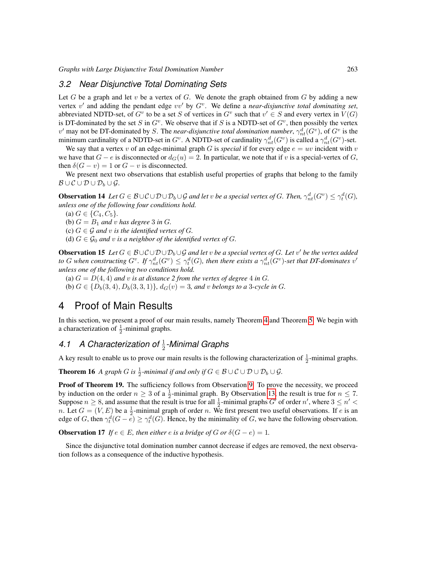#### <span id="page-8-0"></span>*3.2 Near Disjunctive Total Dominating Sets*

Let G be a graph and let v be a vertex of G. We denote the graph obtained from G by adding a new vertex  $v'$  and adding the pendant edge  $vv'$  by  $G^v$ . We define a *near-disjunctive total dominating set*, abbreviated NDTD-set, of  $G^v$  to be a set S of vertices in  $G^v$  such that  $v' \in S$  and every vertex in  $V(G)$ is DT-dominated by the set S in  $G^v$ . We observe that if S is a NDTD-set of  $G^v$ , then possibly the vertex  $v'$  may not be DT-dominated by S. The *near-disjunctive total domination number*,  $\gamma_{nt}^d(G^v)$ , of  $G^v$  is the minimum cardinality of a NDTD-set in  $G^v$ . A NDTD-set of cardinality  $\gamma_{nt}^d(G^v)$  is called a  $\gamma_{nt}^d(G^v)$ -set.

We say that a vertex v of an edge-minimal graph G is *special* if for every edge  $e = uv$  incident with v we have that  $G - e$  is disconnected or  $d_G(u) = 2$ . In particular, we note that if v is a special-vertex of G, then  $\delta(G - v) = 1$  or  $G - v$  is disconnected.

We present next two observations that establish useful properties of graphs that belong to the family  $\mathcal{B}\cup\mathcal{C}\cup\mathcal{D}\cup\mathcal{D}_b\cup\mathcal{G}.$ 

<span id="page-8-4"></span>**Observation 14** Let  $G \in \mathcal{B} \cup \mathcal{C} \cup \mathcal{D} \cup \mathcal{D}_b \cup \mathcal{G}$  and let v be a special vertex of G. Then,  $\gamma^d_{nt}(G^v) \leq \gamma^d_t(G)$ , *unless one of the following four conditions hold.*

(a)  $G \in \{C_4, C_5\}$ .

(b)  $G = B_1$  *and v has degree* 3 *in G*.

(c)  $G \in \mathcal{G}$  *and*  $v$  *is the identified vertex of*  $G$ *.* 

(d)  $G \in \mathcal{G}_0$  *and* v *is a neighbor of the identified vertex of G*.

<span id="page-8-5"></span>**Observation 15** Let  $G \in \mathcal{B} \cup \mathcal{C} \cup \mathcal{D} \cup \mathcal{D}_b \cup \mathcal{G}$  and let v be a special vertex of G. Let v' be the vertex added to G when constructing  $G^v$ . If  $\gamma^d_{nt}(G^v) \leq \gamma^d_t(G)$ , then there exists a  $\gamma^d_{nt}(G^v)$ -set that DT-dominates  $v'$ *unless one of the following two conditions hold.*

(a)  $G = D(4, 4)$  *and* v *is at distance* 2 from the vertex of degree 4 *in* G.

(b)  $G \in \{D_b(3,4), D_b(3,3,1)\}\$ ,  $d_G(v) = 3$ , and v belongs to a 3-cycle in G.

### 4 Proof of Main Results

In this section, we present a proof of our main results, namely Theorem [4](#page-6-0) and Theorem [5.](#page-6-1) We begin with a characterization of  $\frac{1}{2}$ -minimal graphs.

# *4.1 A Characterization of* <sup>1</sup> 2 *-Minimal Graphs*

A key result to enable us to prove our main results is the following characterization of  $\frac{1}{2}$ -minimal graphs.

<span id="page-8-1"></span>**Theorem 16** *A graph G is*  $\frac{1}{2}$ -minimal *if and only if*  $G \in \mathcal{B} \cup \mathcal{C} \cup \mathcal{D} \cup \mathcal{D}_b \cup \mathcal{G}$ *.* 

Proof of Theorem 19. The sufficiency follows from Observation [9.](#page-7-0) To prove the necessity, we proceed by induction on the order  $n \geq 3$  of a  $\frac{1}{2}$ -minimal graph. By Observation [13,](#page-7-1) the result is true for  $n \leq 7$ . Suppose  $n \geq 8$ , and assume that the result is true for all  $\frac{1}{2}$ -minimal graphs G' of order n', where  $3 \leq n' <$ n. Let  $G = (V, E)$  be a  $\frac{1}{2}$ -minimal graph of order n. We first present two useful observations. If e is an edge of G, then  $\gamma_t^d(G - \overline{e}) \geq \gamma_t^d(G)$ . Hence, by the minimality of G, we have the following observation.

<span id="page-8-2"></span>**Observation 17** *If*  $e \in E$ *, then either*  $e$  *is a bridge of*  $G$  *or*  $\delta(G - e) = 1$ *.* 

<span id="page-8-3"></span>Since the disjunctive total domination number cannot decrease if edges are removed, the next observation follows as a consequence of the inductive hypothesis.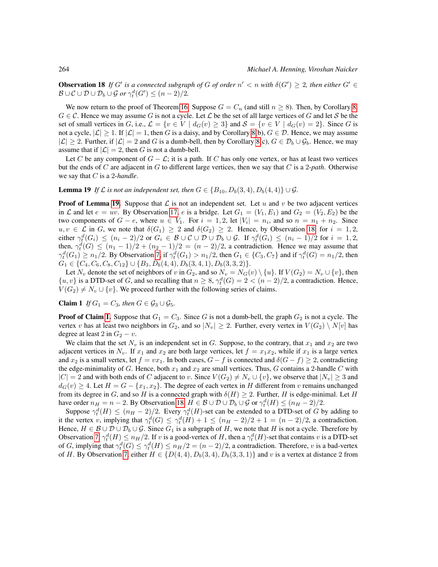**Observation 18** If G' is a connected subgraph of G of order  $n' < n$  with  $\delta(G') \geq 2$ , then either G'  $\in$  $\mathcal{B}\cup\mathcal{C}\cup\mathcal{D}\cup\mathcal{D}_b\cup\mathcal{G}$  or  $\gamma^d_t(G')\leq (n-2)/2.$ 

We now return to the proof of Theorem [16.](#page-8-1) Suppose  $G = C_n$  (and still  $n \geq 8$ ). Then, by Corollary [8,](#page-7-2)  $G \in \mathcal{C}$ . Hence we may assume G is not a cycle. Let  $\mathcal{L}$  be the set of all large vertices of G and let S be the set of small vertices in G, i.e.,  $\mathcal{L} = \{v \in V \mid d_G(v) \geq 3\}$  and  $\mathcal{S} = \{v \in V \mid d_G(v) = 2\}$ . Since G is not a cycle,  $|\mathcal{L}| \geq 1$ . If  $|\mathcal{L}| = 1$ , then G is a daisy, and by Corollary [8\(](#page-7-2)b),  $G \in \mathcal{D}$ . Hence, we may assume  $|\mathcal{L}| \geq 2$ . Further, if  $|\mathcal{L}| = 2$  and G is a dumb-bell, then by Corollary [8\(](#page-7-2)c),  $G \in \mathcal{D}_b \cup \mathcal{G}_b$ . Hence, we may assume that if  $|\mathcal{L}| = 2$ , then G is not a dumb-bell.

Let C be any component of  $G - \mathcal{L}$ ; it is a path. If C has only one vertex, or has at least two vertices but the ends of C are adjacent in G to different large vertices, then we say that C is a 2-*path*. Otherwise we say that C is a 2-*handle*.

<span id="page-9-0"></span>**Lemma 19** *If*  $\mathcal L$  *is not an independent set, then*  $G \in \{B_{10}, D_b(3, 4), D_b(4, 4)\} \cup \mathcal G$ *.* 

**Proof of Lemma [19.](#page-9-0)** Suppose that  $\mathcal L$  is not an independent set. Let u and v be two adjacent vertices in  $\mathcal L$  and let  $e = uv$ . By Observation [17,](#page-8-2) e is a bridge. Let  $G_1 = (V_1, E_1)$  and  $G_2 = (V_2, E_2)$  be the two components of  $G - e$ , where  $u \in V_1$ . For  $i = 1, 2$ , let  $|V_i| = n_i$ , and so  $n = n_1 + n_2$ . Since  $u, v \in \mathcal{L}$  in G, we note that  $\delta(G_1) \geq 2$  and  $\delta(G_2) \geq 2$ . Hence, by Observation [18,](#page-8-3) for  $i = 1, 2$ , either  $\gamma^d_t(G_i) \le (n_i-2)/2$  or  $G_i \in \mathcal{B} \cup \mathcal{C} \cup \mathcal{D} \cup \mathcal{D}_b \cup \mathcal{G}$ . If  $\gamma^d_t(G_i) \le (n_i-1)/2$  for  $i=1,2,$ then,  $\gamma_t^d(G) \le (n_1 - 1)/2 + (n_2 - 1)/2 = (n - 2)/2$ , a contradiction. Hence we may assume that  $\gamma_t^d(G_1) \ge n_1/2$ . By Observation [7,](#page-6-5) if  $\gamma_t^d(G_1) > n_1/2$ , then  $G_1 \in \{C_3, C_7\}$  and if  $\gamma_t^d(G) = n_1/2$ , then  $G_1 \in \{C_4, C_6, C_8, C_{12}\} \cup \{B_3, D_b(4,4), D_b(3,4,1), D_b(3,3,2)\}.$ 

Let  $N_v$  denote the set of neighbors of v in  $G_2$ , and so  $N_v = N_G(v) \setminus \{u\}$ . If  $V(G_2) = N_v \cup \{v\}$ , then  $\{u, v\}$  is a DTD-set of G, and so recalling that  $n \geq 8$ ,  $\gamma_t^d(G) = 2 < (n-2)/2$ , a contradiction. Hence,  $V(G_2) \neq N_v \cup \{v\}$ . We proceed further with the following series of claims.

<span id="page-9-1"></span>**Claim 1** *If*  $G_1 = C_3$ *, then*  $G \in \mathcal{G}_3 \cup \mathcal{G}_5$ *.* 

**Proof of Claim [1.](#page-9-1)** Suppose that  $G_1 = C_3$ . Since G is not a dumb-bell, the graph  $G_2$  is not a cycle. The vertex v has at least two neighbors in  $G_2$ , and so  $|N_v| \ge 2$ . Further, every vertex in  $V(G_2) \setminus N[v]$  has degree at least 2 in  $G_2 - v$ .

We claim that the set  $N_v$  is an independent set in G. Suppose, to the contrary, that  $x_1$  and  $x_2$  are two adjacent vertices in  $N_v$ . If  $x_1$  and  $x_2$  are both large vertices, let  $f = x_1x_2$ , while if  $x_1$  is a large vertex and  $x_2$  is a small vertex, let  $f = vx_1$ . In both cases,  $G - f$  is connected and  $\delta(G - f) \geq 2$ , contradicting the edge-minimality of G. Hence, both  $x_1$  and  $x_2$  are small vertices. Thus, G contains a 2-handle C with  $|C| = 2$  and with both ends of C adjacent to v. Since  $V(G_2) \neq N_v \cup \{v\}$ , we observe that  $|N_v| \geq 3$  and  $d_G(v) \geq 4$ . Let  $H = G - \{x_1, x_2\}$ . The degree of each vertex in H different from v remains unchanged from its degree in G, and so H is a connected graph with  $\delta(H) \geq 2$ . Further, H is edge-minimal. Let H have order  $n_H = n - 2$ . By Observation [18,](#page-8-3)  $H \in \mathcal{B} \cup \mathcal{D} \cup \mathcal{D}_b \cup \mathcal{G}$  or  $\gamma_t^d(H) \le (n_H - 2)/2$ .

Suppose  $\gamma_t^d(H) \le (n_H - 2)/2$ . Every  $\gamma_t^d(H)$ -set can be extended to a DTD-set of G by adding to it the vertex v, implying that  $\gamma_t^d(G) \leq \gamma_t^d(H) + 1 \leq (n_H - 2)/2 + 1 = (n - 2)/2$ , a contradiction. Hence,  $H \in \mathcal{B} \cup \mathcal{D} \cup \mathcal{D}_b \cup \mathcal{G}$ . Since  $G_1$  is a subgraph of H, we note that H is not a cycle. Therefore by Observation [7,](#page-6-5)  $\gamma_t^d(H) \le n_H/2$ . If v is a good-vertex of H, then a  $\gamma_t^d(H)$ -set that contains v is a DTD-set of G, implying that  $\gamma_t^d(G) \leq \gamma_t^d(H) \leq n_H/2 = (n-2)/2$ , a contradiction. Therefore, v is a bad-vertex of H. By Observation [7,](#page-6-5) either  $H \in \{D(4,4), D_6(3,4), D_6(3,3,1)\}\$  and v is a vertex at distance 2 from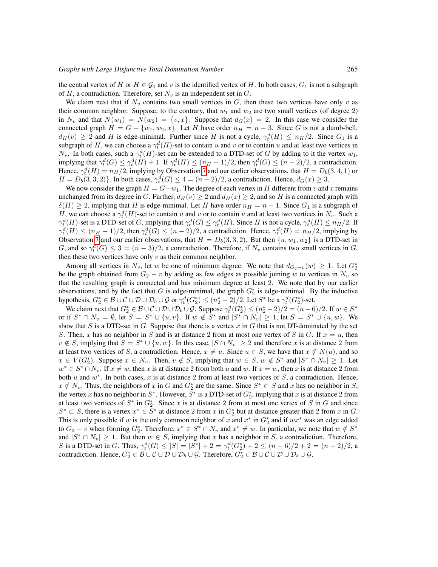the central vertex of H or  $H \in \mathcal{G}_0$  and v is the identified vertex of H. In both cases,  $G_1$  is not a subgraph of H, a contradiction. Therefore, set  $N_v$  is an independent set in G.

We claim next that if  $N_v$  contains two small vertices in G, then these two vertices have only v as their common neighbor. Suppose, to the contrary, that  $w_1$  and  $w_2$  are two small vertices (of degree 2) in  $N_v$  and that  $N(w_1) = N(w_2) = \{v, x\}$ . Suppose that  $d_G(x) = 2$ . In this case we consider the connected graph  $H = G - \{w_1, w_2, x\}$ . Let H have order  $n_H = n - 3$ . Since G is not a dumb-bell,  $d_H(v) \geq 2$  and H is edge-minimal. Further since H is not a cycle,  $\gamma_t^d(H) \leq n_H/2$ . Since  $G_1$  is a subgraph of H, we can choose a  $\gamma_t^d(H)$ -set to contain u and v or to contain u and at least two vertices in  $N_v$ . In both cases, such a  $\gamma_t^d(H)$ -set can be extended to a DTD-set of G by adding to it the vertex  $w_1$ , implying that  $\gamma_t^d(G) \leq \gamma_t^d(H) + 1$ . If  $\gamma_t^d(H) \leq (n + 1)/2$ , then  $\gamma_t^d(G) \leq (n - 2)/2$ , a contradiction. Hence,  $\gamma_t^d(H) = n_H/2$ , implying by Observation [7](#page-6-5) and our earlier observations, that  $H = D_b(3, 4, 1)$  or  $H = D_b(3,3,2)$ . In both cases,  $\gamma_t^d(G) \leq 4 = (n-2)/2$ , a contradiction. Hence,  $d_G(x) \geq 3$ .

We now consider the graph  $H = G - w_1$ . The degree of each vertex in H different from v and x remains unchanged from its degree in G. Further,  $d_H(v) \geq 2$  and  $d_H(x) \geq 2$ , and so H is a connected graph with  $\delta(H) \geq 2$ , implying that H is edge-minimal. Let H have order  $n_H = n - 1$ . Since  $G_1$  is a subgraph of H, we can choose a  $\gamma_t^d(H)$ -set to contain u and v or to contain u and at least two vertices in  $N_v$ . Such a  $\gamma_t^d(H)$ -set is a DTD-set of G, implying that  $\gamma_t^d(G) \leq \gamma_t^d(H)$ . Since H is not a cycle,  $\gamma_t^d(H) \leq n_H/2$ . If  $\gamma_t^d(H) \le (n_H - 1)/2$ , then  $\gamma_t^d(G) \le (n - 2)/2$ , a contradiction. Hence,  $\gamma_t^d(H) = n_H/2$ , implying by Observation [7](#page-6-5) and our earlier observations, that  $H = D_b(3, 3, 2)$ . But then  $\{u, w_1, w_2\}$  is a DTD-set in G, and so  $\gamma_t^d(G) \leq 3 = (n-3)/2$ , a contradiction. Therefore, if  $N_v$  contains two small vertices in G, then these two vertices have only  $v$  as their common neighbor.

Among all vertices in  $N_v$ , let w be one of minimum degree. We note that  $d_{G_2-v}(w) \geq 1$ . Let  $G_2^*$ be the graph obtained from  $G_2 - v$  by adding as few edges as possible joining w to vertices in  $N_v$  so that the resulting graph is connected and has minimum degree at least 2. We note that by our earlier observations, and by the fact that G is edge-minimal, the graph  $G_2^*$  is edge-minimal. By the inductive hypothesis,  $G_2^* \in \mathcal{B} \cup \mathcal{C} \cup \mathcal{D} \cup \mathcal{D}_b \cup \mathcal{G}$  or  $\gamma_t^d(G_2^*) \leq (n_2^* - 2)/2$ . Let  $S^*$  be a  $\gamma_t^d(G_2^*)$ -set.

We claim next that  $G_2^* \in \mathcal{B} \cup \mathcal{C} \cup \mathcal{D} \cup \mathcal{D}_b \cup \mathcal{G}$ . Suppose  $\gamma_t^d(G_2^*) \le (n_2^* - 2)/2 = (n - 6)/2$ . If  $w \in S^*$ or if  $S^* \cap N_v = \emptyset$ , let  $S = S^* \cup \{u, v\}$ . If  $w \notin S^*$  and  $|S^* \cap N_v| \ge 1$ , let  $S = S^* \cup \{u, w\}$ . We show that S is a DTD-set in G. Suppose that there is a vertex  $x$  in G that is not DT-dominated by the set S. Then, x has no neighbor in S and is at distance 2 from at most one vertex of S in G. If  $x = u$ , then  $v \notin S$ , implying that  $S = S^* \cup \{u, w\}$ . In this case,  $|S \cap N_v| \ge 2$  and therefore x is at distance 2 from at least two vertices of S, a contradiction. Hence,  $x \neq u$ . Since  $u \in S$ , we have that  $x \notin N(u)$ , and so  $x \in V(G_2^*)$ . Suppose  $x \in N_v$ . Then,  $v \notin S$ , implying that  $w \in S$ ,  $w \notin S^*$  and  $|S^* \cap N_v| \ge 1$ . Let  $w^* \in S^* \cap N_v$ . If  $x \neq w$ , then x is at distance 2 from both u and w. If  $x = w$ , then x is at distance 2 from both u and  $w^*$ . In both cases, x is at distance 2 from at least two vertices of S, a contradiction. Hence,  $x \notin N_v$ . Thus, the neighbors of x in G and  $G_2^*$  are the same. Since  $S^* \subset S$  and x has no neighbor in S, the vertex x has no neighbor in  $S^*$ . However,  $S^*$  is a DTD-set of  $G_2^*$ , implying that x is at distance 2 from at least two vertices of  $S^*$  in  $G_2^*$ . Since x is at distance 2 from at most one vertex of S in G and since  $S^* \subset S$ , there is a vertex  $x^* \in S^*$  at distance 2 from x in  $G_2^*$  but at distance greater than 2 from x in G. This is only possible if w is the only common neighbor of x and  $x^*$  in  $G_2^*$  and if  $wx^*$  was an edge added to  $G_2 - v$  when forming  $G_2^*$ . Therefore,  $x^* \in S^* \cap N_v$  and  $x^* \neq w$ . In particular, we note that  $w \notin S^*$ and  $|S^* \cap N_v| \ge 1$ . But then  $w \in S$ , implying that x has a neighbor in S, a contradiction. Therefore, S is a DTD-set in G. Thus,  $\gamma_t^d(G) \leq |S| = |S^*| + 2 = \gamma_t^d(G_2^*) + 2 \leq (n-6)/2 + 2 = (n-2)/2$ , a contradiction. Hence,  $G_2^* \in \mathcal{B} \cup \mathcal{C} \cup \mathcal{D} \cup \mathcal{D}_b \cup \mathcal{G}$ . Therefore,  $G_2^* \in \mathcal{B} \cup \mathcal{C} \cup \mathcal{D} \cup \mathcal{D}_b \cup \mathcal{G}$ .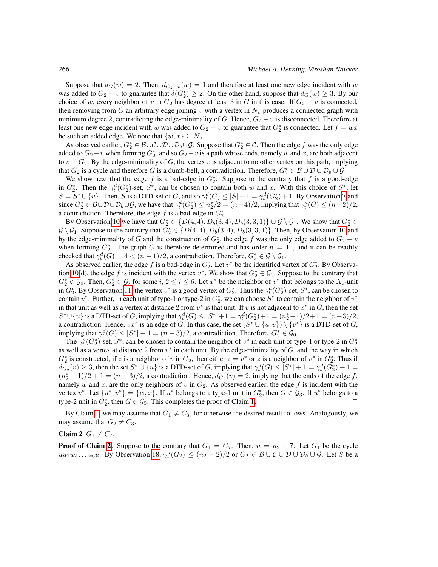Suppose that  $d_G(w) = 2$ . Then,  $d_{G_2-v}(w) = 1$  and therefore at least one new edge incident with w was added to  $G_2 - v$  to guarantee that  $\delta(G_2^*) \ge 2$ . On the other hand, suppose that  $d_G(w) \ge 3$ . By our choice of w, every neighbor of v in  $G_2$  has degree at least 3 in G in this case. If  $G_2 - v$  is connected, then removing from G an arbitrary edge joining v with a vertex in  $N_v$  produces a connected graph with minimum degree 2, contradicting the edge-minimality of G. Hence,  $G_2 - v$  is disconnected. Therefore at least one new edge incident with w was added to  $G_2 - v$  to guarantee that  $G_2^*$  is connected. Let  $f = wx$ be such an added edge. We note that  $\{w, x\} \subseteq N_v$ .

As observed earlier,  $G_2^* \in \mathcal{B} \cup \mathcal{C} \cup \mathcal{D} \cup \mathcal{D}_b \cup \mathcal{G}$ . Suppose that  $G_2^* \in \mathcal{C}$ . Then the edge  $f$  was the only edge added to  $G_2 - v$  when forming  $G_2^*$ , and so  $G_2 - v$  is a path whose ends, namely w and x, are both adjacent to v in  $G_2$ . By the edge-minimality of G, the vertex v is adjacent to no other vertex on this path, implying that  $G_2$  is a cycle and therefore G is a dumb-bell, a contradiction. Therefore,  $G_2^* \in \mathcal{B} \cup \mathcal{D} \cup \mathcal{D}_b \cup \mathcal{G}$ .

We show next that the edge f is a bad-edge in  $G_2^*$ . Suppose to the contrary that f is a good-edge in  $G_2^*$ . Then the  $\gamma_t^d(G_2^*)$ -set,  $S^*$ , can be chosen to contain both w and x. With this choice of  $S^*$ , let  $S = S^* \cup \{u\}$ . Then, S is a DTD-set of G, and so  $\gamma_t^d(G) \leq |S| + 1 = \gamma_t^d(G_2^*) + 1$ . By Observation [7](#page-6-5) and since  $G_2^* \in \mathcal{B} \cup \mathcal{D} \cup \mathcal{D}_b \cup \mathcal{G}$ , we have that  $\gamma_t^d(G_2^*) \leq n_2^*/2 = (n-4)/2$ , implying that  $\gamma_t^d(G) \leq (n-2)/2$ , a contradiction. Therefore, the edge f is a bad-edge in  $G_2^*$ .

By Observation [10](#page-7-3) we have that  $G_2^* \in \{D(4,4), D_6(3,4), D_6(3,3,1)\} \cup \mathcal{G} \setminus \mathcal{G}_1$ . We show that  $G_2^* \in$  $\mathcal{G} \setminus \mathcal{G}_1$ . Suppose to the contrary that  $G_2^* \in \{D(4,4), D_6(3,4), D_6(3,3,1)\}$ . Then, by Observation [10](#page-7-3) and by the edge-minimality of G and the construction of  $G_2^*$ , the edge f was the only edge added to  $G_2 - v$ when forming  $G_2^*$ . The graph G is therefore determined and has order  $n = 11$ , and it can be readily checked that  $\gamma_t^d(G) = 4 < (n-1)/2$ , a contradiction. Therefore,  $G_2^* \in \mathcal{G} \setminus \mathcal{G}_1$ .

As observed earlier, the edge f is a bad-edge in  $G_2^*$ . Let  $v^*$  be the identified vertex of  $G_2^*$ . By Observa-tion [10\(](#page-7-3)d), the edge f is incident with the vertex  $v^*$ . We show that  $G_2^* \in \mathcal{G}_0$ . Suppose to the contrary that  $G_2^* \notin \mathcal{G}_0$ . Then,  $G_2^* \in \mathcal{G}_i$  for some  $i, 2 \le i \le 6$ . Let  $x^*$  be the neighbor of  $v^*$  that belongs to the  $X_i$ -unit in  $G_2^*$ . By Observation [11,](#page-7-4) the vertex  $v^*$  is a good-vertex of  $G_2^*$ . Thus the  $\gamma_t^d(G_2^*)$ -set,  $S^*$ , can be chosen to contain  $v^*$ . Further, in each unit of type-1 or type-2 in  $G_2^*$ , we can choose  $S^*$  to contain the neighbor of  $v^*$ in that unit as well as a vertex at distance 2 from  $v^*$  is that unit. If v is not adjacent to  $x^*$  in  $G$ , then the set  $S^* \cup \{u\}$  is a DTD-set of G, implying that  $\gamma_t^d(G) \leq |S^*| + 1 = \gamma_t^d(G_2^*) + 1 = (n_2^* - 1)/2 + 1 = (n-3)/2$ , a contradiction. Hence,  $vx^*$  is an edge of G. In this case, the set  $(S^* \cup \{u, v\}) \setminus \{v^*\}$  is a DTD-set of G, implying that  $\gamma_t^d(G) \leq |S^*| + 1 = (n-3)/2$ , a contradiction. Therefore,  $G_2^* \in \mathcal{G}_0$ .

The  $\gamma_t^d(G_2^*)$ -set,  $S^*$ , can be chosen to contain the neighbor of  $v^*$  in each unit of type-1 or type-2 in  $G_2^*$ as well as a vertex at distance 2 from  $v^*$  in each unit. By the edge-minimality of  $G$ , and the way in which  $G_2^*$  is constructed, if z is a neighbor of v in  $G_2$ , then either  $z = v^*$  or z is a neighbor of  $v^*$  in  $G_2^*$ . Thus if  $d_{G_2}(v) \ge 3$ , then the set  $S^* \cup \{u\}$  is a DTD-set of G, implying that  $\gamma_t^d(G) \le |S^*| + 1 = \gamma_t^d(G_2^*) + 1 = 1$  $(n_2^* - 1)/2 + 1 = (n - 3)/2$ , a contradiction. Hence,  $d_{G_2}(v) = 2$ , implying that the ends of the edge f, namely w and x, are the only neighbors of v in  $G_2$ . As observed earlier, the edge f is incident with the vertex  $v^*$ . Let  $\{u^*, v^*\} = \{w, x\}$ . If  $u^*$  belongs to a type-1 unit in  $G_2^*$ , then  $G \in \mathcal{G}_3$ . If  $u^*$  belongs to a type-2 unit in  $G_2^*$ , then  $G \in \mathcal{G}_5$ . This completes the proof of Claim [1.](#page-9-1)

By Claim [1,](#page-9-1) we may assume that  $G_1 \neq C_3$ , for otherwise the desired result follows. Analogously, we may assume that  $G_2 \neq C_3$ .

#### <span id="page-11-0"></span>**Claim 2**  $G_1 \neq C_7$ .

**Proof of Claim [2.](#page-11-0)** Suppose to the contrary that  $G_1 = C_7$ . Then,  $n = n_2 + 7$ . Let  $G_1$  be the cycle  $uu_1u_2...u_6u$ . By Observation [18,](#page-8-3)  $\gamma_t^d(G_2) \le (n_2-2)/2$  or  $G_2 \in \mathcal{B} \cup \mathcal{C} \cup \mathcal{D} \cup \mathcal{D}_b \cup \mathcal{G}$ . Let S be a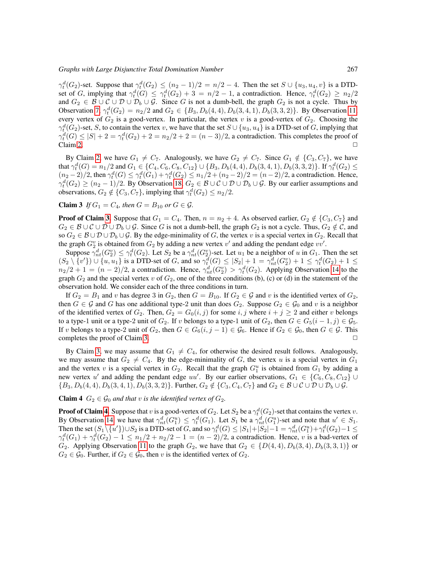$\gamma_t^d(G_2)$ -set. Suppose that  $\gamma_t^d(G_2) \le (n_2 - 1)/2 = n/2 - 4$ . Then the set  $S \cup \{u_3, u_4, v\}$  is a DTDset of G, implying that  $\gamma_t^d(G) \leq \gamma_t^d(G_2) + 3 = n/2 - 1$ , a contradiction. Hence,  $\gamma_t^d(G_2) \geq n_2/2$ and  $G_2 \in \mathcal{B} \cup \mathcal{C} \cup \mathcal{D} \cup \mathcal{D}_b \cup \mathcal{G}$ . Since G is not a dumb-bell, the graph  $G_2$  is not a cycle. Thus by Observation [7,](#page-6-5)  $\gamma_t^d(G_2) = n_2/2$  and  $G_2 \in \{B_3, D_b(4, 4), D_b(3, 4, 1), D_b(3, 3, 2)\}$ . By Observation [11,](#page-7-4) every vertex of  $G_2$  is a good-vertex. In particular, the vertex v is a good-vertex of  $G_2$ . Choosing the  $\gamma_t^d(G_2)$ -set, S, to contain the vertex v, we have that the set  $S \cup \{u_3, u_4\}$  is a DTD-set of G, implying that  $\gamma_t^d(G) \leq |S| + 2 = \gamma_t^d(G_2) + 2 = n_2/2 + 2 = (n-3)/2$ , a contradiction. This completes the proof of Claim [2.](#page-11-0)  $\Box$ 

By Claim [2,](#page-11-0) we have  $G_1 \neq C_7$ . Analogously, we have  $G_2 \neq C_7$ . Since  $G_1 \notin \{C_3, C_7\}$ , we have that  $\gamma_t^d(G) = n_1/2$  and  $G_1 \in \{C_4, C_6, C_8, C_{12}\} \cup \{B_3, D_b(4,4), D_b(3,4,1), D_b(3,3,2)\}$ . If  $\gamma_t^d(G_2) \le$  $(n_2-2)/2$ , then  $\gamma_t^d(G) \leq \gamma_t^d(G_1) + \gamma_t^d(G_2) \leq n_1/2 + (n_2-2)/2 = (n-2)/2$ , a contradiction. Hence,  $\gamma_t^d(G_2) \ge (n_2 - 1)/2$ . By Observation [18,](#page-8-3)  $G_2 \in \mathcal{B} \cup \mathcal{C} \cup \mathcal{D} \cup \mathcal{D}_b \cup \mathcal{G}$ . By our earlier assumptions and observations,  $G_2 \notin \{C_3, C_7\}$ , implying that  $\gamma_t^d(G_2) \leq n_2/2$ .

<span id="page-12-0"></span>**Claim 3** *If*  $G_1 = C_4$ *, then*  $G = B_{10}$  *or*  $G \in \mathcal{G}$ *.* 

**Proof of Claim [3.](#page-12-0)** Suppose that  $G_1 = C_4$ . Then,  $n = n_2 + 4$ . As observed earlier,  $G_2 \notin \{C_3, C_7\}$  and  $G_2 \in \mathcal{B} \cup \mathcal{C} \cup \mathcal{D} \cup \mathcal{D}_b \cup \mathcal{G}$ . Since G is not a dumb-bell, the graph  $G_2$  is not a cycle. Thus,  $G_2 \notin \mathcal{C}$ , and so  $G_2 \in \mathcal{B} \cup \mathcal{D} \cup \mathcal{D}_b \cup \mathcal{G}$ . By the edge-minimality of G, the vertex v is a special vertex in  $G_2$ . Recall that the graph  $G_2^v$  is obtained from  $G_2$  by adding a new vertex  $v'$  and adding the pendant edge  $vv'$ .

Suppose  $\gamma_{nt}^d(G_2^v) \leq \gamma_t^d(G_2)$ . Let  $S_2$  be a  $\gamma_{nt}^d(G_2^v)$ -set. Let  $u_1$  be a neighbor of u in  $G_1$ . Then the set  $(S_2 \setminus \{v'\}) \cup \{u, u_1\}$  is a DTD-set of G, and so  $\gamma_t^d(G) \leq |S_2| + 1 = \gamma_{nt}^d(G_2^v) + 1 \leq \gamma_t^d(G_2) + 1 \leq$  $n_2/2 + 1 = (n-2)/2$ , a contradiction. Hence,  $\gamma_{nt}^d(G_2^v) > \gamma_t^d(G_2)$ . Applying Observation [14](#page-8-4) to the graph  $G_2$  and the special vertex v of  $G_2$ , one of the three conditions (b), (c) or (d) in the statement of the observation hold. We consider each of the three conditions in turn.

If  $G_2 = B_1$  and v has degree 3 in  $G_2$ , then  $G = B_{10}$ . If  $G_2 \in \mathcal{G}$  and v is the identified vertex of  $G_2$ , then  $G \in \mathcal{G}$  and G has one additional type-2 unit than does  $G_2$ . Suppose  $G_2 \in \mathcal{G}_0$  and v is a neighbor of the identified vertex of  $G_2$ . Then,  $G_2 = G_0(i, j)$  for some i, j where  $i + j \geq 2$  and either v belongs to a type-1 unit or a type-2 unit of  $G_2$ . If v belongs to a type-1 unit of  $G_2$ , then  $G \in G_5(i-1,j) \in \mathcal{G}_5$ . If v belongs to a type-2 unit of  $G_2$ , then  $G \in G_6(i, j - 1) \in \mathcal{G}_6$ . Hence if  $G_2 \in \mathcal{G}_0$ , then  $G \in \mathcal{G}$ . This completes the proof of Claim [3.](#page-12-0)

By Claim [3,](#page-12-0) we may assume that  $G_1 \neq C_4$ , for otherwise the desired result follows. Analogously, we may assume that  $G_2 \neq C_4$ . By the edge-minimality of G, the vertex u is a special vertex in  $G_1$ and the vertex v is a special vertex in  $G_2$ . Recall that the graph  $G_1^u$  is obtained from  $G_1$  by adding a new vertex u' and adding the pendant edge uu'. By our earlier observations,  $G_1 \in \{C_6, C_8, C_{12}\}$  ${B_3, D_b(4, 4), D_b(3, 4, 1), D_b(3, 3, 2)}$ . Further,  $G_2 \notin {C_3, C_4, C_7}$  and  $G_2 \in B \cup C \cup D \cup D_b \cup G$ .

<span id="page-12-1"></span>**Claim 4**  $G_2 \in \mathcal{G}_0$  *and that* v *is the identified vertex of*  $G_2$ *.* 

**Proof of Claim [4.](#page-12-1)** Suppose that  $v$  is a good-vertex of  $G_2$ . Let  $S_2$  be a  $\gamma_t^d(G_2)$ -set that contains the vertex  $v$ . By Observation [14,](#page-8-4) we have that  $\gamma_{nt}^d(G_1^u) \leq \gamma_t^d(G_1)$ . Let  $S_1$  be a  $\gamma_{nt}^d(G_1^u)$ -set and note that  $u' \in S_1$ . Then the set  $(S_1 \setminus \{u'\}) \cup S_2$  is a DTD-set of G, and so  $\gamma_t^d(G) \leq |S_1| + |S_2| - 1 = \gamma_{nt}^d(G_1^u) + \gamma_t^d(G_2) - 1 \leq$  $\gamma_t^d(G_1) + \gamma_t^d(G_2) - 1 \leq n_1/2 + n_2/2 - 1 = (n-2)/2$ , a contradiction. Hence, v is a bad-vertex of  $G_2$ . Applying Observation [11](#page-7-4) to the graph  $G_2$ , we have that  $G_2 \in \{D(4,4), D_b(3,4), D_b(3,3,1)\}$  or  $G_2 \in \mathcal{G}_0$ . Further, if  $G_2 \in \mathcal{G}_0$ , then v is the identified vertex of  $G_2$ .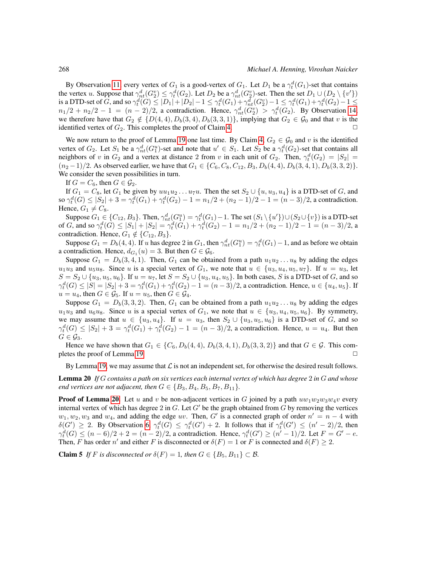By Observation [11,](#page-7-4) every vertex of  $G_1$  is a good-vertex of  $G_1$ . Let  $D_1$  be a  $\gamma_t^d(G_1)$ -set that contains the vertex u. Suppose that  $\gamma^d_{nt}(G_2^v) \leq \gamma^d_t(G_2)$ . Let  $D_2$  be a  $\gamma^d_{nt}(G_2^v)$ -set. Then the set  $D_1 \cup (D_2 \setminus \{v'\})$ is a DTD-set of G, and so  $\gamma_t^d(G) \leq |D_1|+|D_2|-1 \leq \gamma_t^d(G_1)+\gamma_{nt}^d(G_2^v)-1 \leq \gamma_t^d(G_1)+\gamma_t^d(G_2)-1 \leq$  $n_1/2 + n_2/2 - 1 = (n-2)/2$ , a contradiction. Hence,  $\gamma_{nt}^d(G_2^v) > \gamma_t^d(G_2)$ . By Observation [14,](#page-8-4) we therefore have that  $G_2 \notin \{D(4,4), D_6(3,4), D_6(3,3,1)\}$ , implying that  $G_2 \in \mathcal{G}_0$  and that v is the identified vertex of  $G_2$ . This completes the proof of Claim [4.](#page-12-1)

We now return to the proof of Lemma [19](#page-9-0) one last time. By Claim [4,](#page-12-1)  $G_2 \in \mathcal{G}_0$  and v is the identified vertex of  $G_2$ . Let  $S_1$  be a  $\gamma^d_{nt}(G_1^u)$ -set and note that  $u' \in S_1$ . Let  $S_2$  be a  $\gamma^d_t(G_2)$ -set that contains all neighbors of v in  $G_2$  and a vertex at distance 2 from v in each unit of  $G_2$ . Then,  $\gamma_t^d(G_2) = |S_2|$  $(n_2-1)/2$ . As observed earlier, we have that  $G_1 \in \{C_6, C_8, C_{12}, B_3, D_6(4, 4), D_6(3, 4, 1), D_6(3, 3, 2)\}.$ We consider the seven possibilities in turn.

If  $G = C_6$ , then  $G \in \mathcal{G}_2$ .

If  $G_1 = C_8$ , let  $G_1$  be given by  $uu_1u_2 \ldots u_7u$ . Then the set  $S_2 \cup \{u, u_3, u_4\}$  is a DTD-set of  $G$ , and so  $\gamma_t^d(G) \leq |S_2| + 3 = \gamma_t^d(G_1) + \gamma_t^d(G_2) - 1 = n_1/2 + (n_2 - 1)/2 - 1 = (n - 3)/2$ , a contradiction. Hence,  $G_1 \neq C_8$ .

Suppose  $G_1 \in \{C_{12}, B_3\}$ . Then,  $\gamma^d_{nt}(G_1^u) = \gamma^d_t(G_1) - 1$ . The set  $(S_1 \setminus \{u'\}) \cup (S_2 \cup \{v\})$  is a DTD-set of G, and so  $\gamma_t^d(G) \leq |S_1| + |S_2| = \gamma_t^d(G_1) + \gamma_t^d(G_2) - 1 = n_1/2 + (n_2 - 1)/2 - 1 = (n - 3)/2$ , a contradiction. Hence,  $G_1 \notin \{C_{12}, B_3\}.$ 

Suppose  $G_1 = D_b(4, 4)$ . If u has degree 2 in  $G_1$ , then  $\gamma_{nt}^d(G_1^u) = \gamma_t^d(G_1) - 1$ , and as before we obtain a contradiction. Hence,  $d_{G_1}(u) = 3$ . But then  $G \in \mathcal{G}_6$ .

Suppose  $G_1 = D_b(3, 4, 1)$ . Then,  $G_1$  can be obtained from a path  $u_1u_2...u_8$  by adding the edges  $u_1u_3$  and  $u_5u_8$ . Since u is a special vertex of  $G_1$ , we note that  $u \in \{u_3, u_4, u_5, u_7\}$ . If  $u = u_3$ , let  $S = S_2 \cup \{u_3, u_5, u_6\}$ . If  $u = u_7$ , let  $S = S_2 \cup \{u_3, u_4, u_5\}$ . In both cases, S is a DTD-set of G, and so  $\gamma_t^d(G) \leq |S| = |S_2| + 3 = \gamma_t^d(G_1) + \gamma_t^d(G_2) - 1 = (n-3)/2$ , a contradiction. Hence,  $u \in \{u_4, u_5\}$ . If  $u = u_4$ , then  $G \in \mathcal{G}_5$ . If  $u = u_5$ , then  $G \in \mathcal{G}_4$ .

Suppose  $G_1 = D_6(3, 3, 2)$ . Then,  $G_1$  can be obtained from a path  $u_1u_2...u_8$  by adding the edges  $u_1u_3$  and  $u_6u_8$ . Since u is a special vertex of  $G_1$ , we note that  $u \in \{u_3, u_4, u_5, u_6\}$ . By symmetry, we may assume that  $u \in \{u_3, u_4\}$ . If  $u = u_3$ , then  $S_2 \cup \{u_3, u_5, u_6\}$  is a DTD-set of G, and so  $\gamma_t^d(G) \leq |S_2| + 3 = \gamma_t^d(G_1) + \gamma_t^d(G_2) - 1 = (n-3)/2$ , a contradiction. Hence,  $u = u_4$ . But then  $G \in \mathcal{G}_3$ .

Hence we have shown that  $G_1 \in \{C_6, D_b(4, 4), D_b(3, 4, 1), D_b(3, 3, 2)\}\$  and that  $G \in \mathcal{G}$ . This com-pletes the proof of Lemma [19.](#page-9-0)  $\Box$ 

By Lemma [19,](#page-9-0) we may assume that  $\mathcal L$  is not an independent set, for otherwise the desired result follows.

<span id="page-13-0"></span>Lemma 20 *If* G *contains a path on six vertices each internal vertex of which has degree* 2 *in* G *and whose end vertices are not adjacent, then*  $G \in \{B_3, B_4, B_5, B_7, B_{11}\}.$ 

**Proof of Lemma [20.](#page-13-0)** Let u and v be non-adjacent vertices in G joined by a path  $uw_1w_2w_3w_4v$  every internal vertex of which has degree 2 in G. Let G' be the graph obtained from G by removing the vertices  $w_1, w_2, w_3$  and  $w_4$ , and adding the edge uv. Then, G' is a connected graph of order  $n' = n - 4$  with  $\delta(G') \geq 2$ . By Observation [6,](#page-6-7)  $\gamma_t^d(G) \leq \gamma_t^d(G') + 2$ . It follows that if  $\gamma_t^d(G') \leq (n'-2)/2$ , then  $\gamma_t^d(G) \le (n-6)/2 + 2 = (n-2)/2$ , a contradiction. Hence,  $\gamma_t^d(G') \ge (n'-1)/2$ . Let  $F = G' - e$ . Then, F has order n' and either F is disconnected or  $\delta(F) = 1$  or F is connected and  $\delta(F) \geq 2$ .

<span id="page-13-1"></span>**Claim 5** *If* F *is disconnected or*  $\delta(F) = 1$ *, then*  $G \in \{B_5, B_{11}\} \subset \mathcal{B}$ *.*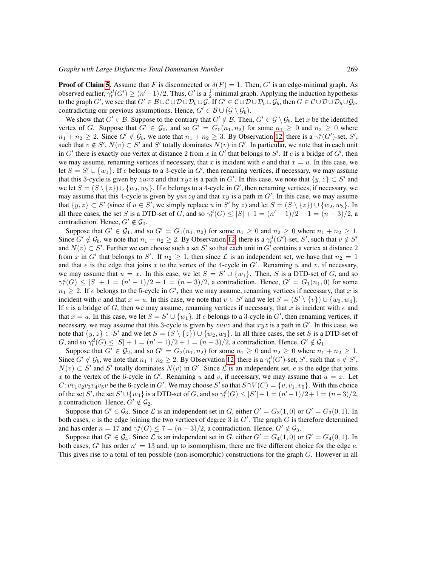**Proof of Claim [5.](#page-13-1)** Assume that F is disconnected or  $\delta(F) = 1$ . Then, G' is an edge-minimal graph. As observed earlier,  $\gamma_t^d(G') \ge (n'-1)/2$ . Thus, G' is a  $\frac{1}{2}$ -minimal graph. Applying the induction hypothesis to the graph  $G'$ , we see that  $G'\in\mathcal{B}\cup\mathcal{C}\cup\mathcal{D}\cup\mathcal{D}_b\cup\mathcal{G}$ . If  $G'\in\mathcal{C}\cup\mathcal{D}\cup\mathcal{D}_b\cup\mathcal{G}_b$ , then  $G\in\mathcal{C}\cup\mathcal{D}\cup\mathcal{D}_b\cup\mathcal{G}_b$ , contradicting our previous assumptions. Hence,  $G' \in \mathcal{B} \cup (\mathcal{G} \setminus \mathcal{G}_b)$ .

We show that  $G' \in \mathcal{B}$ . Suppose to the contrary that  $G' \notin \mathcal{B}$ . Then,  $G' \in \mathcal{G} \setminus \mathcal{G}_b$ . Let x be the identified vertex of G. Suppose that  $G' \in \mathcal{G}_0$ , and so  $G' = G_0(n_1, n_2)$  for some  $n_1 \geq 0$  and  $n_2 \geq 0$  where  $n_1 + n_2 \geq 2$ . Since  $G' \notin \mathcal{G}_b$ , we note that  $n_1 + n_2 \geq 3$ . By Observation [12,](#page-7-5) there is a  $\gamma_t^d(G')$ -set, S', such that  $v \notin S'$ ,  $N(v) \subset S'$  and  $S'$  totally dominates  $N(v)$  in  $G'$ . In particular, we note that in each unit in G' there is exactly one vertex at distance 2 from x in G' that belongs to S'. If e is a bridge of G', then we may assume, renaming vertices if necessary, that x is incident with e and that  $x = u$ . In this case, we let  $S = S' \cup \{w_1\}$ . If e belongs to a 3-cycle in G', then renaming vertices, if necessary, we may assume that this 3-cycle is given by zuvz and that xyz is a path in G'. In this case, we note that  $\{y, z\} \subset S'$  and we let  $S = (S \setminus \{z\}) \cup \{w_2, w_3\}$ . If e belongs to a 4-cycle in G', then renaming vertices, if necessary, we may assume that this 4-cycle is given by  $yuvzy$  and that  $xy$  is a path in  $G'$ . In this case, we may assume that  $\{y, z\} \subset S'$  (since if  $u \in S'$ , we simply replace u in S' by z) and let  $S = (S \setminus \{z\}) \cup \{w_2, w_3\}$ . In all three cases, the set S is a DTD-set of G, and so  $\gamma_t^d(G) \leq |S| + 1 = (n' - 1)/2 + 1 = (n - 3)/2$ , a contradiction. Hence,  $G' \notin \mathcal{G}_0$ .

Suppose that  $G' \in \mathcal{G}_1$ , and so  $G' = G_1(n_1, n_2)$  for some  $n_1 \geq 0$  and  $n_2 \geq 0$  where  $n_1 + n_2 \geq 1$ . Since  $G' \notin \mathcal{G}_b$ , we note that  $n_1 + n_2 \geq 2$ . By Observation [12,](#page-7-5) there is a  $\gamma_t^d(G')$ -set, S', such that  $v \notin S'$ and  $N(v) \subset S'$ . Further we can choose such a set S' so that each unit in G' contains a vertex at distance 2 from x in G' that belongs to S'. If  $n_2 \ge 1$ , then since L is an independent set, we have that  $n_2 = 1$ and that  $e$  is the edge that joins  $x$  to the vertex of the 4-cycle in  $G'$ . Renaming  $u$  and  $v$ , if necessary, we may assume that  $u = x$ . In this case, we let  $S = S' \cup \{w_1\}$ . Then, S is a DTD-set of G, and so  $\gamma_t^d(G) \leq |S| + 1 = (n'-1)/2 + 1 = (n-3)/2$ , a contradiction. Hence,  $G' = G_1(n_1, 0)$  for some  $n_1 \geq 2$ . If e belongs to the 5-cycle in G', then we may assume, renaming vertices if necessary, that x is incident with e and that  $x = u$ . In this case, we note that  $v \in S'$  and we let  $S = (S' \setminus \{v\}) \cup \{w_3, w_4\}.$ If e is a bridge of G, then we may assume, renaming vertices if necessary, that x is incident with e and that  $x = u$ . In this case, we let  $S = S' \cup \{w_1\}$ . If e belongs to a 3-cycle in  $G'$ , then renaming vertices, if necessary, we may assume that this 3-cycle is given by zuvz and that  $xyz$  is a path in  $G'$ . In this case, we note that  $\{y, z\} \subset S'$  and we let  $S = (S \setminus \{z\}) \cup \{w_2, w_3\}$ . In all three cases, the set S is a DTD-set of G, and so  $\gamma_t^d(G) \leq |S| + 1 = (n' - 1)/2 + 1 = (n - 3)/2$ , a contradiction. Hence,  $G' \notin \mathcal{G}_1$ .

Suppose that  $G' \in \mathcal{G}_2$ , and so  $G' = G_2(n_1, n_2)$  for some  $n_1 \geq 0$  and  $n_2 \geq 0$  where  $n_1 + n_2 \geq 1$ . Since  $G' \notin \mathcal{G}_b$ , we note that  $n_1 + n_2 \geq 2$ . By Observation [12,](#page-7-5) there is a  $\gamma_t^d(G')$ -set, S', such that  $v \notin S'$ ,  $N(v) \subset S'$  and S' totally dominates  $N(v)$  in G'. Since L is an independent set, e is the edge that joins x to the vertex of the 6-cycle in G'. Renaming u and v, if necessary, we may assume that  $u = x$ . Let  $C: vv_1v_2v_3v_4v_5v$  be the 6-cycle in G'. We may choose S' so that  $S \cap V(C) = \{v, v_1, v_5\}$ . With this choice of the set S', the set  $S' \cup \{w_4\}$  is a DTD-set of G, and so  $\gamma_t^d(G) \leq |S'| + 1 = (n'-1)/2 + 1 = (n-3)/2$ , a contradiction. Hence,  $G' \notin \mathcal{G}_2$ .

Suppose that  $G' \in \mathcal{G}_3$ . Since  $\mathcal{L}$  is an independent set in G, either  $G' = G_3(1,0)$  or  $G' = G_3(0,1)$ . In both cases,  $e$  is the edge joining the two vertices of degree 3 in  $G'$ . The graph  $G$  is therefore determined and has order  $n = 17$  and  $\gamma_t^d(G) \le 7 = (n-3)/2$ , a contradiction. Hence,  $G' \notin \mathcal{G}_3$ .

Suppose that  $G' \in \mathcal{G}_4$ . Since  $\mathcal L$  is an independent set in G, either  $G' = G_4(1,0)$  or  $G' = G_4(0,1)$ . In both cases, G' has order  $n' = 13$  and, up to isomorphism, there are five different choice for the edge e. This gives rise to a total of ten possible (non-isomorphic) constructions for the graph G. However in all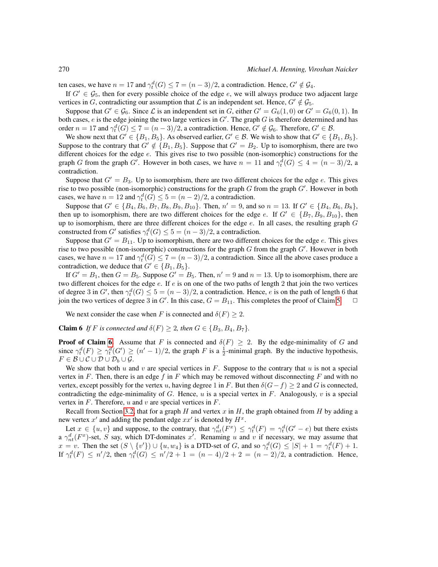ten cases, we have  $n = 17$  and  $\gamma_t^d(G) \le 7 = (n-3)/2$ , a contradiction. Hence,  $G' \notin \mathcal{G}_4$ .

If  $G' \in \mathcal{G}_5$ , then for every possible choice of the edge e, we will always produce two adjacent large vertices in G, contradicting our assumption that L is an independent set. Hence,  $G' \notin \mathcal{G}_5$ .

Suppose that  $G' \in \mathcal{G}_6$ . Since L is an independent set in G, either  $G' = G_6(1,0)$  or  $G' = G_6(0,1)$ . In both cases,  $e$  is the edge joining the two large vertices in  $G'$ . The graph  $G$  is therefore determined and has order  $n = 17$  and  $\gamma_t^d(G) \le 7 = (n-3)/2$ , a contradiction. Hence,  $G' \notin \mathcal{G}_6$ . Therefore,  $G' \in \mathcal{B}$ .

We show next that  $G' \in \{B_1, B_5\}$ . As observed earlier,  $G' \in \mathcal{B}$ . We wish to show that  $G' \in \{B_1, B_5\}$ . Suppose to the contrary that  $G' \notin \{B_1, B_5\}$ . Suppose that  $G' = B_2$ . Up to isomorphism, there are two different choices for the edge e. This gives rise to two possible (non-isomorphic) constructions for the graph G from the graph G'. However in both cases, we have  $n = 11$  and  $\gamma_t^d(G) \leq 4 = (n-3)/2$ , a contradiction.

Suppose that  $G' = B_3$ . Up to isomorphism, there are two different choices for the edge e. This gives rise to two possible (non-isomorphic) constructions for the graph  $G$  from the graph  $G'$ . However in both cases, we have  $n = 12$  and  $\gamma_t^d(G) \leq 5 = (n-2)/2$ , a contradiction.

Suppose that  $G' \in \{B_4, B_6, B_7, B_8, B_9, B_{10}\}$ . Then,  $n' = 9$ , and so  $n = 13$ . If  $G' \in \{B_4, B_6, B_8\}$ , then up to isomorphism, there are two different choices for the edge e. If  $G' \in \{B_7, B_9, B_{10}\}$ , then up to isomorphism, there are three different choices for the edge  $e$ . In all cases, the resulting graph  $G$ constructed from G' satisfies  $\gamma_t^d(G) \le 5 = (n-3)/2$ , a contradiction.

Suppose that  $G' = B_{11}$ . Up to isomorphism, there are two different choices for the edge e. This gives rise to two possible (non-isomorphic) constructions for the graph  $G$  from the graph  $G'$ . However in both cases, we have  $n = 17$  and  $\gamma_t^d(G) \le 7 = (n-3)/2$ , a contradiction. Since all the above cases produce a contradiction, we deduce that  $G' \in \{B_1, B_5\}.$ 

If  $G' = B_1$ , then  $G = B_5$ . Suppose  $G' = B_5$ . Then,  $n' = 9$  and  $n = 13$ . Up to isomorphism, there are two different choices for the edge  $e$ . If  $e$  is on one of the two paths of length 2 that join the two vertices of degree 3 in G', then  $\gamma_t^d(G) \le 5 = (n-3)/2$ , a contradiction. Hence, e is on the path of length 6 that join the two vertices of degree 3 in G'. In this case,  $G = B_{11}$ . This completes the proof of Claim [5.](#page-13-1)  $\Box$ 

We next consider the case when F is connected and  $\delta(F) \geq 2$ .

<span id="page-15-0"></span>**Claim 6** *If* F *is connected and*  $\delta(F) \geq 2$ *, then*  $G \in \{B_3, B_4, B_7\}$ *.* 

**Proof of Claim [6.](#page-15-0)** Assume that F is connected and  $\delta(F) \geq 2$ . By the edge-minimality of G and since  $\gamma_t^d(F) \ge \gamma_t^d(G') \ge (n'-1)/2$ , the graph F is a  $\frac{1}{2}$ -minimal graph. By the inductive hypothesis,  $F \in \mathcal{B} \cup \mathcal{C} \cup \mathcal{D} \cup \mathcal{D}_b \cup \mathcal{G}.$ 

We show that both u and v are special vertices in  $F$ . Suppose to the contrary that u is not a special vertex in F. Then, there is an edge f in F which may be removed without disconnecting F and with no vertex, except possibly for the vertex u, having degree 1 in F. But then  $\delta(G - f) \geq 2$  and G is connected, contradicting the edge-minimality of G. Hence,  $u$  is a special vertex in F. Analogously,  $v$  is a special vertex in  $F$ . Therefore,  $u$  and  $v$  are special vertices in  $F$ .

Recall from Section [3.2,](#page-8-0) that for a graph H and vertex x in H, the graph obtained from H by adding a new vertex  $x'$  and adding the pendant edge  $xx'$  is denoted by  $H^x$ .

Let  $x \in \{u, v\}$  and suppose, to the contrary, that  $\gamma_{nt}^d(F^x) \leq \gamma_t^d(F) = \gamma_t^d(G' - e)$  but there exists a  $\gamma_{nt}^d(F^x)$ -set, S say, which DT-dominates x'. Renaming u and v if necessary, we may assume that  $x = v$ . Then the set  $(S \setminus \{v'\}) \cup \{u, w_4\}$  is a DTD-set of G, and so  $\gamma_t^d(G) \leq |S| + 1 = \gamma_t^d(F) + 1$ . If  $\gamma_t^d(F) \leq n'/2$ , then  $\gamma_t^d(G) \leq n'/2 + 1 = (n-4)/2 + 2 = (n-2)/2$ , a contradiction. Hence,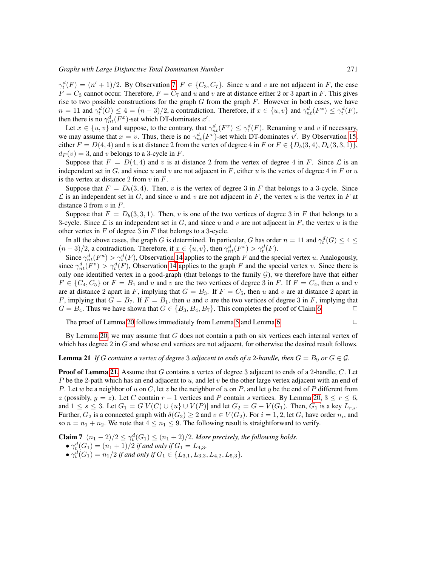$\gamma_t^d(F) = (n'+1)/2$ . By Observation [7,](#page-6-5)  $F \in \{C_3, C_7\}$ . Since u and v are not adjacent in F, the case  $F = C_3$  cannot occur. Therefore,  $F = C_7$  and u and v are at distance either 2 or 3 apart in F. This gives rise to two possible constructions for the graph  $G$  from the graph  $F$ . However in both cases, we have  $n = 11$  and  $\gamma_t^d(G) \le 4 = (n-3)/2$ , a contradiction. Therefore, if  $x \in \{u, v\}$  and  $\gamma_{nt}^d(F^x) \le \gamma_t^d(F)$ , then there is no  $\gamma_{nt}^d(F^x)$ -set which DT-dominates x'.

Let  $x \in \{u, v\}$  and suppose, to the contrary, that  $\gamma^d_{nt}(F^x) \leq \gamma^d_t(F)$ . Renaming u and v if necessary, we may assume that  $x = v$ . Thus, there is no  $\gamma_{nt}^d(F^v)$ -set which DT-dominates v'. By Observation [15,](#page-8-5) either  $F = D(4, 4)$  and v is at distance 2 from the vertex of degree 4 in F or  $F \in \{D_b(3, 4), D_b(3, 3, 1)\}\,$  $d_F(v) = 3$ , and v belongs to a 3-cycle in F.

Suppose that  $F = D(4, 4)$  and v is at distance 2 from the vertex of degree 4 in F. Since L is an independent set in  $G$ , and since  $u$  and  $v$  are not adjacent in  $F$ , either  $u$  is the vertex of degree 4 in  $F$  or  $u$ is the vertex at distance 2 from  $v$  in  $F$ .

Suppose that  $F = D_b(3, 4)$ . Then, v is the vertex of degree 3 in F that belongs to a 3-cycle. Since  $\mathcal L$  is an independent set in G, and since u and v are not adjacent in F, the vertex u is the vertex in F at distance 3 from  $v$  in  $F$ .

Suppose that  $F = D_b(3,3,1)$ . Then, v is one of the two vertices of degree 3 in F that belongs to a 3-cycle. Since L is an independent set in G, and since u and v are not adjacent in F, the vertex u is the other vertex in  $F$  of degree 3 in  $F$  that belongs to a 3-cycle.

In all the above cases, the graph G is determined. In particular, G has order  $n = 11$  and  $\gamma_t^d(G) \leq 4 \leq$  $(n-3)/2$ , a contradiction. Therefore, if  $x \in \{u, v\}$ , then  $\gamma^d_{nt}(F^x) > \gamma^d_t(F)$ .

Since  $\gamma_{nt}^d(F^u) > \gamma_t^d(F)$ , Observation [14](#page-8-4) applies to the graph F and the special vertex u. Analogously, since  $\gamma_{nt}^d(F^v) > \gamma_t^d(F)$ , Observation [14](#page-8-4) applies to the graph F and the special vertex v. Since there is only one identified vertex in a good-graph (that belongs to the family  $G$ ), we therefore have that either  $F \in \{C_4, C_5\}$  or  $F = B_1$  and u and v are the two vertices of degree 3 in F. If  $F = C_4$ , then u and v are at distance 2 apart in F, implying that  $G = B_3$ . If  $F = C_5$ , then u and v are at distance 2 apart in F, implying that  $G = B_7$ . If  $F = B_1$ , then u and v are the two vertices of degree 3 in F, implying that  $G = B_4$ . Thus we have shown that  $G \in \{B_3, B_4, B_7\}$ . This completes the proof of Claim [6.](#page-15-0)

The proof of Lemma [20](#page-13-0) follows immediately from Lemma [5](#page-13-1) and Lemma [6.](#page-15-0)  $\Box$ 

By Lemma [20,](#page-13-0) we may assume that G does not contain a path on six vertices each internal vertex of which has degree 2 in G and whose end vertices are not adjacent, for otherwise the desired result follows.

#### <span id="page-16-0"></span>**Lemma 21** *If* G contains a vertex of degree 3 adjacent to ends of a 2-handle, then  $G = B_9$  or  $G \in \mathcal{G}$ .

**Proof of Lemma [21.](#page-16-0)** Assume that G contains a vertex of degree 3 adjacent to ends of a 2-handle,  $C$ . Let P be the 2-path which has an end adjacent to u, and let v be the other large vertex adjacent with an end of P. Let w be a neighbor of u on C, let z be the neighbor of u on P, and let y be the end of P different from z (possibly,  $y = z$ ). Let C contain  $r - 1$  vertices and P contain s vertices. By Lemma [20,](#page-13-0)  $3 \le r \le 6$ , and  $1 \le s \le 3$ . Let  $G_1 = G[V(C) \cup \{u\} \cup V(P)]$  and let  $G_2 = G - V(G_1)$ . Then,  $G_1$  is a key  $L_{r,s}$ . Further,  $G_2$  is a connected graph with  $\delta(G_2) \ge 2$  and  $v \in V(G_2)$ . For  $i = 1, 2$ , let  $G_i$  have order  $n_i$ , and so  $n = n_1 + n_2$ . We note that  $4 \leq n_1 \leq 9$ . The following result is straightforward to verify.

<span id="page-16-1"></span>**Claim 7**  $(n_1 - 2)/2 \leq \gamma_t^d(G_1) \leq (n_1 + 2)/2$ . More precisely, the following holds. •  $\gamma_t^d(G_1) = (n_1 + 1)/2$  *if and only if*  $G_1 = L_{4,3}$ *.* •  $\gamma_t^d(G_1) = n_1/2$  *if and only if*  $G_1 \in \{L_{3,1}, L_{3,3}, L_{4,2}, L_{5,3}\}.$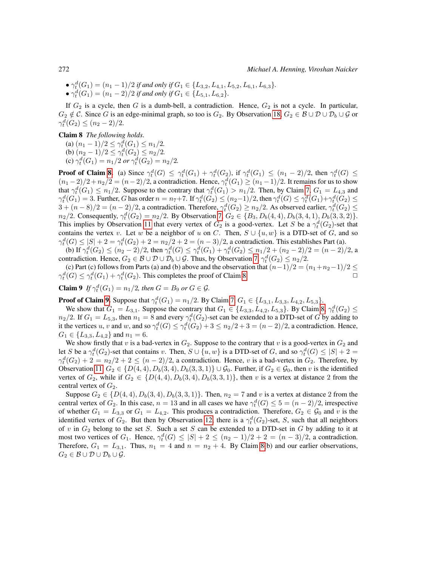- $\gamma_t^d(G_1) = (n_1 1)/2$  *if and only if*  $G_1 \in \{L_{3,2}, L_{4,1}, L_{5,2}, L_{6,1}, L_{6,3}\}.$
- $\gamma_t^d(G_1) = (n_1 2)/2$  *if and only if*  $G_1 \in \{L_{5,1}, L_{6,2}\}.$

If  $G_2$  is a cycle, then G is a dumb-bell, a contradiction. Hence,  $G_2$  is not a cycle. In particular,  $G_2 \notin \mathcal{C}$ . Since G is an edge-minimal graph, so too is  $G_2$ . By Observation [18,](#page-8-3)  $G_2 \in \mathcal{B} \cup \mathcal{D} \cup \mathcal{D}_b \cup \mathcal{G}$  or  $\gamma_t^d(G_2) \le (n_2 - 2)/2.$ 

<span id="page-17-0"></span>Claim 8 *The following holds.*

(a)  $(n_1 - 1)/2 \leq \gamma_t^d(G_1) \leq n_1/2$ .

(b) 
$$
(n_2 - 1)/2 \leq \gamma_t^d(G_2) \leq n_2/2
$$
.

(c)  $\gamma_t^d(G_1) = n_1/2$  *or*  $\gamma_t^d(G_2) = n_2/2$ .

**Proof of Claim [8.](#page-17-0)** (a) Since  $\gamma_t^d(G) \leq \gamma_t^d(G_1) + \gamma_t^d(G_2)$ , if  $\gamma_t^d(G_1) \leq (n_1 - 2)/2$ , then  $\gamma_t^d(G) \leq$  $(n_1-2)/2 + n_2/2 = (n-2)/2$ , a contradiction. Hence,  $\gamma_t^d(G_1) \ge (n_1-1)/2$ . It remains for us to show that  $\gamma_t^d(G_1) \leq n_1/2$ . Suppose to the contrary that  $\gamma_t^d(G_1) > n_1/2$ . Then, by Claim [7,](#page-16-1)  $G_1 = L_{4,3}$  and  $\gamma_t^d(G_1) = 3$ . Further, G has order  $n = n_7 + 7$ . If  $\gamma_t^d(G_2) \le (n_2-1)/2$ , then  $\gamma_t^d(G) \le \gamma_t^d(G_1) + \gamma_t^d(G_2) \le$  $3 + (n-8)/2 = (n-2)/2$ , a contradiction. Therefore,  $\gamma_t^d(G_2) \ge n_2/2$ . As observed earlier,  $\gamma_t^d(G_2) \le$  $n_2/2$ . Consequently,  $\gamma_t^d(G_2) = n_2/2$ . By Observation [7,](#page-6-5)  $G_2 \in \{B_3, D_b(4, 4), D_b(3, 4, 1), D_b(3, 3, 2)\}.$ This implies by Observation [11](#page-7-4) that every vertex of  $G_2$  is a good-vertex. Let S be a  $\gamma_t^d(G_2)$ -set that contains the vertex v. Let w be a neighbor of u on C. Then,  $S \cup \{u, w\}$  is a DTD-set of G, and so  $\gamma_t^d(G) \le |S| + 2 = \gamma_t^d(G_2) + 2 = n_2/2 + 2 = (n-3)/2$ , a contradiction. This establishes Part (a).

(b) If  $\gamma_t^d(G_2) \le (n_2 - 2)/2$ , then  $\gamma_t^d(G) \le \gamma_t^d(G_1) + \gamma_t^d(G_2) \le n_1/2 + (n_2 - 2)/2 = (n - 2)/2$ , a contradiction. Hence,  $G_2 \in \mathcal{B} \cup \mathcal{D} \cup \mathcal{D}_b \cup \mathcal{G}$ . Thus, by Observation [7,](#page-6-5)  $\gamma_t^d(G_2) \leq n_2/2$ .

(c) Part (c) follows from Parts (a) and (b) above and the observation that  $(n-1)/2 = (n_1+n_2-1)/2 \le$  $\gamma_t^d(G) \leq \gamma_t^d(G_1) + \gamma_t^d(G_2)$ . This completes the proof of Claim [8.](#page-17-0)

<span id="page-17-1"></span>**Claim 9** If  $\gamma_t^d(G_1) = n_1/2$ , then  $G = B_9$  or  $G \in \mathcal{G}$ .

**Proof of Claim [9.](#page-17-1)** Suppose that  $\gamma_t^d(G_1) = n_1/2$ . By Claim [7,](#page-16-1)  $G_1 \in \{L_{3,1}, L_{3,3}, L_{4,2}, L_{5,3}\}$ .

We show that  $G_1 = L_{3,1}$ . Suppose the contrary that  $G_1 \in \{L_{3,3}, L_{4,2}, L_{5,3}\}$ . By Claim [8,](#page-17-0)  $\gamma_t^d(G_2) \le$  $n_2/2$ . If  $G_1 = L_{5,3}$ , then  $n_1 = 8$  and every  $\gamma_t^d(G_2)$ -set can be extended to a DTD-set of G by adding to it the vertices u, v and w, and so  $\gamma_t^d(G) \leq \gamma_t^d(G_2) + 3 \leq n_2/2 + 3 = (n-2)/2$ , a contradiction. Hence,  $G_1 \in \{L_{3,3}, L_{4,2}\}\$  and  $n_1 = 6$ .

We show firstly that v is a bad-vertex in  $G_2$ . Suppose to the contrary that v is a good-vertex in  $G_2$  and let S be a  $\gamma_t^d(G_2)$ -set that contains v. Then,  $S \cup \{u, w\}$  is a DTD-set of G, and so  $\gamma_t^d(G) \le |S| + 2 =$  $\gamma_t^d(G_2) + 2 = n_2/2 + 2 \le (n-2)/2$ , a contradiction. Hence, v is a bad-vertex in  $G_2$ . Therefore, by Observation [11,](#page-7-4)  $G_2 \in \{D(4, 4), D_6(3, 4), D_6(3, 3, 1)\} \cup \mathcal{G}_0$ . Further, if  $G_2 \in \mathcal{G}_0$ , then v is the identified vertex of  $G_2$ , while if  $G_2 \in \{D(4,4), D_6(3,4), D_6(3,3,1)\}$ , then v is a vertex at distance 2 from the central vertex of  $G_2$ .

Suppose  $G_2 \in \{D(4, 4), D_6(3, 4), D_6(3, 3, 1)\}\.$  Then,  $n_2 = 7$  and v is a vertex at distance 2 from the central vertex of  $G_2$ . In this case,  $n = 13$  and in all cases we have  $\gamma_t^d(G) \leq 5 = (n-2)/2$ , irrespective of whether  $G_1 = L_{3,3}$  or  $G_1 = L_{4,2}$ . This produces a contradiction. Therefore,  $G_2 \in \mathcal{G}_0$  and v is the identified vertex of  $G_2$ . But then by Observation [12,](#page-7-5) there is a  $\gamma_t^d(G_2)$ -set, S, such that all neighbors of v in  $G_2$  belong to the set S. Such a set S can be extended to a DTD-set in G by adding to it at most two vertices of  $G_1$ . Hence,  $\gamma_t^d(G) \leq |S| + 2 \leq (n_2 - 1)/2 + 2 = (n - 3)/2$ , a contradiction. Therefore,  $G_1 = L_{3,1}$ . Thus,  $n_1 = 4$  and  $n = n_2 + 4$ . By Claim [8\(](#page-17-0)b) and our earlier observations,  $G_2 \in \mathcal{B} \cup \mathcal{D} \cup \mathcal{D}_b \cup \mathcal{G}.$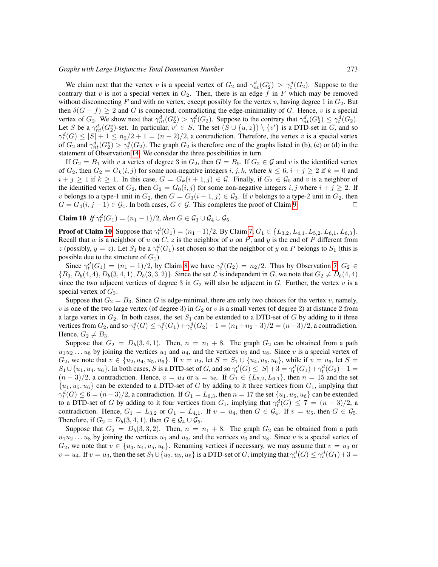#### *Graphs with Large Disjunctive Total Domination Number* 273

We claim next that the vertex v is a special vertex of  $G_2$  and  $\gamma_{nt}^d(G_2^v) > \gamma_t^d(G_2)$ . Suppose to the contrary that v is not a special vertex in  $G_2$ . Then, there is an edge f in F which may be removed without disconnecting F and with no vertex, except possibly for the vertex v, having degree 1 in  $G_2$ . But then  $\delta(G - f) \geq 2$  and G is connected, contradicting the edge-minimality of G. Hence, v is a special vertex of  $G_2$ . We show next that  $\gamma^d_{nt}(G_2^v) > \gamma^d_t(G_2)$ . Suppose to the contrary that  $\gamma^d_{nt}(G_2^v) \leq \gamma^d_t(G_2)$ . Let S be a  $\gamma_{nt}^d(G_2^v)$ -set. In particular,  $v' \in S$ . The set  $(S \cup \{u, z\}) \setminus \{v'\}$  is a DTD-set in G, and so  $\gamma_t^d(G) \leq |S| + 1 \leq n_2/2 + 1 = (n-2)/2$ , a contradiction. Therefore, the vertex v is a special vertex of  $G_2$  and  $\gamma_{nt}^d(G_2^v) > \gamma_t^d(G_2)$ . The graph  $G_2$  is therefore one of the graphs listed in (b), (c) or (d) in the statement of Observation [14.](#page-8-4) We consider the three possibilities in turn.

If  $G_2 = B_1$  with v a vertex of degree 3 in  $G_2$ , then  $G = B_9$ . If  $G_2 \in \mathcal{G}$  and v is the identified vertex of  $G_2$ , then  $G_2 = G_k(i, j)$  for some non-negative integers i, j, k, where  $k \leq 6$ ,  $i + j \geq 2$  if  $k = 0$  and  $i + j \geq 1$  if  $k \geq 1$ . In this case,  $G = G_k(i + 1, j) \in \mathcal{G}$ . Finally, if  $G_2 \in \mathcal{G}_0$  and v is a neighbor of the identified vertex of  $G_2$ , then  $G_2 = G_0(i, j)$  for some non-negative integers i, j where  $i + j \ge 2$ . If v belongs to a type-1 unit in  $G_2$ , then  $G = G_3(i - 1, j) \in G_3$ . If v belongs to a type-2 unit in  $G_2$ , then  $G = G_4(i, j - 1) \in \mathcal{G}_4$ . In both cases,  $G \in \mathcal{G}$ . This completes the proof of Claim [9.](#page-17-1)

<span id="page-18-0"></span>**Claim 10** If  $\gamma_t^d(G_1) = (n_1 - 1)/2$ , then  $G \in \mathcal{G}_3 \cup \mathcal{G}_4 \cup \mathcal{G}_5$ .

**Proof of Claim [10.](#page-18-0)** Suppose that  $\gamma_t^d(G_1) = (n_1 - 1)/2$ . By Claim [7,](#page-16-1)  $G_1 \in \{L_{3,2}, L_{4,1}, L_{5,2}, L_{6,1}, L_{6,3}\}$ . Recall that  $w$  is a neighbor of  $u$  on  $C$ ,  $z$  is the neighbor of  $u$  on  $P$ , and  $y$  is the end of  $P$  different from z (possibly,  $y = z$ ). Let  $S_1$  be a  $\gamma_t^d(G_1)$ -set chosen so that the neighbor of y on P belongs to  $S_1$  (this is possible due to the structure of  $G_1$ ).

Since  $\gamma_t^d(G_1) = (n_1 - 1)/2$ , by Claim [8](#page-17-0) we have  $\gamma_t^d(G_2) = n_2/2$ . Thus by Observation [7,](#page-6-5)  $G_2 \in$  ${B_3, D_b(4, 4), D_b(3, 4, 1), D_b(3, 3, 2)}$ . Since the set  $\mathcal L$  is independent in G, we note that  $G_2 \neq D_b(4, 4)$ since the two adjacent vertices of degree 3 in  $G_2$  will also be adjacent in G. Further, the vertex v is a special vertex of  $G_2$ .

Suppose that  $G_2 = B_3$ . Since G is edge-minimal, there are only two choices for the vertex v, namely, v is one of the two large vertex (of degree 3) in  $G_2$  or v is a small vertex (of degree 2) at distance 2 from a large vertex in  $G_2$ . In both cases, the set  $S_1$  can be extended to a DTD-set of G by adding to it three vertices from  $G_2$ , and so  $\gamma_t^d(G) \leq \gamma_t^d(G_1) + \gamma_t^d(G_2) - 1 = (n_1 + n_2 - 3)/2 = (n-3)/2$ , a contradiction. Hence,  $G_2 \neq B_3$ .

Suppose that  $G_2 = D_6(3, 4, 1)$ . Then,  $n = n_1 + 8$ . The graph  $G_2$  can be obtained from a path  $u_1u_2...u_8$  by joining the vertices  $u_1$  and  $u_4$ , and the vertices  $u_6$  and  $u_8$ . Since v is a special vertex of  $G_2$ , we note that  $v \in \{u_2, u_4, u_5, u_6\}$ . If  $v = u_2$ , let  $S = S_1 \cup \{u_4, u_5, u_6\}$ , while if  $v = u_6$ , let  $S =$  $S_1 \cup \{u_1, u_4, u_6\}$ . In both cases, S is a DTD-set of G, and so  $\gamma_t^d(G) \leq |S| + 3 = \gamma_t^d(G_1) + \gamma_t^d(G_2) - 1 = 0$  $(n-3)/2$ , a contradiction. Hence,  $v = u_4$  or  $u = u_5$ . If  $G_1 \in \{L_{5,2}, L_{6,1}\}$ , then  $n = 15$  and the set  $\{u_1, u_5, u_6\}$  can be extended to a DTD-set of G by adding to it three vertices from  $G_1$ , implying that  $\gamma_t^d(G) \leq 6 = (n-3)/2$ , a contradiction. If  $G_1 = L_{6,3}$ , then  $n = 17$  the set  $\{u_1, u_5, u_6\}$  can be extended to a DTD-set of G by adding to it four vertices from  $G_1$ , implying that  $\gamma_t^d(G) \le 7 = (n-3)/2$ , a contradiction. Hence,  $G_1 = L_{3,2}$  or  $G_1 = L_{4,1}$ . If  $v = u_4$ , then  $G \in \mathcal{G}_4$ . If  $v = u_5$ , then  $G \in \mathcal{G}_5$ . Therefore, if  $G_2 = D_b(3, 4, 1)$ , then  $G \in \mathcal{G}_4 \cup \mathcal{G}_5$ .

Suppose that  $G_2 = D_6(3, 3, 2)$ . Then,  $n = n_1 + 8$ . The graph  $G_2$  can be obtained from a path  $u_1u_2...u_8$  by joining the vertices  $u_1$  and  $u_3$ , and the vertices  $u_6$  and  $u_8$ . Since v is a special vertex of  $G_2$ , we note that  $v \in \{u_3, u_4, u_5, u_6\}$ . Renaming vertices if necessary, we may assume that  $v = u_3$  or  $v=u_4.$  If  $v=u_3,$  then the set  $S_1\cup \{u_3,u_5,u_6\}$  is a DTD-set of  $G,$  implying that  $\gamma^d_t(G)\leq \gamma^d_t(G_1)+3=$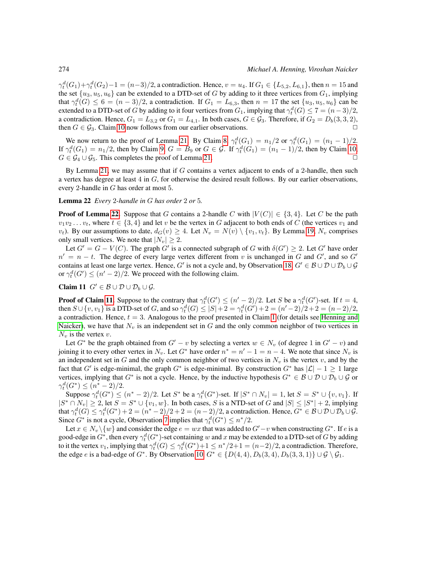$\gamma_t^d(G_1)+\gamma_t^d(G_2)-1=(n-3)/2$ , a contradiction. Hence,  $v=u_4$ . If  $G_1\in\{L_{5,2},L_{6,1}\}$ , then  $n=15$  and the set  $\{u_3, u_5, u_6\}$  can be extended to a DTD-set of G by adding to it three vertices from  $G_1$ , implying that  $\gamma_t^d(G) \le 6 = (n-3)/2$ , a contradiction. If  $G_1 = L_{6,3}$ , then  $n = 17$  the set  $\{u_3, u_5, u_6\}$  can be extended to a DTD-set of G by adding to it four vertices from  $G_1$ , implying that  $\gamma_t^d(G) \le 7 = (n-3)/2$ , a contradiction. Hence,  $G_1 = L_{3,2}$  or  $G_1 = L_{4,1}$ . In both cases,  $G \in \mathcal{G}_3$ . Therefore, if  $G_2 = D_b(3,3,2)$ , then  $G \in \mathcal{G}_3$ . Claim [10](#page-18-0) now follows from our earlier observations.

We now return to the proof of Lemma [21.](#page-16-0) By Claim [8,](#page-17-0)  $\gamma_t^d(G_1) = n_1/2$  or  $\gamma_t^d(G_1) = (n_1 - 1)/2$ . If  $\gamma_t^d(G_1) = n_1/2$ , then by Claim [9,](#page-17-1)  $G = B_9$  or  $G \in \mathcal{G}$ . If  $\gamma_t^d(G_1) = (n_1 - 1)/2$ , then by Claim [10,](#page-18-0)  $G \in \mathcal{G}_4 \cup \mathcal{G}_5$ . This completes the proof of Lemma [21.](#page-16-0)

By Lemma [21,](#page-16-0) we may assume that if  $G$  contains a vertex adjacent to ends of a 2-handle, then such a vertex has degree at least 4 in G, for otherwise the desired result follows. By our earlier observations, every 2-handle in G has order at most 5.

#### <span id="page-19-0"></span>Lemma 22 *Every* 2*-handle in* G *has order* 2 *or* 5*.*

**Proof of Lemma [22.](#page-19-0)** Suppose that G contains a 2-handle C with  $|V(C)| \in \{3, 4\}$ . Let C be the path  $v_1v_2 \ldots v_t$ , where  $t \in \{3, 4\}$  and let v be the vertex in G adjacent to both ends of C (the vertices  $v_1$  and  $v_t$ ). By our assumptions to date,  $d_G(v) \geq 4$ . Let  $N_v = N(v) \setminus \{v_1, v_t\}$ . By Lemma [19,](#page-9-0)  $N_v$  comprises only small vertices. We note that  $|N_v| \geq 2$ .

Let  $G' = G - V(C)$ . The graph G' is a connected subgraph of G with  $\delta(G') \geq 2$ . Let G' have order  $n' = n - t$ . The degree of every large vertex different from v is unchanged in G and G', and so G' contains at least one large vertex. Hence, G' is not a cycle and, by Observation [18,](#page-8-3)  $G' \in B \cup D \cup D_b \cup G$ or  $\gamma_t^d(G') \le (n'-2)/2$ . We proceed with the following claim.

<span id="page-19-1"></span>Claim 11  $G' \in \mathcal{B} \cup \mathcal{D} \cup \mathcal{D}_b \cup \mathcal{G}$ .

**Proof of Claim [11.](#page-19-1)** Suppose to the contrary that  $\gamma_t^d(G') \leq (n'-2)/2$ . Let S be a  $\gamma_t^d(G')$ -set. If  $t = 4$ , then  $S \cup \{v, v_1\}$  is a DTD-set of G, and so  $\gamma_t^d(G) \leq |S| + 2 = \gamma_t^d(G') + 2 = (n' - 2)/2 + 2 = (n - 2)/2$ , a contradiction. Hence,  $t = 3$ . Analogous to the proof presented in Claim [1](#page-9-1) (for details see [Henning and](#page-26-13) [Naicker\)](#page-26-13), we have that  $N_v$  is an independent set in G and the only common neighbor of two vertices in  $N_v$  is the vertex v.

Let  $G^*$  be the graph obtained from  $G' - v$  by selecting a vertex  $w \in N_v$  (of degree 1 in  $G' - v$ ) and joining it to every other vertex in  $N_v$ . Let  $G^*$  have order  $n^* = n' - 1 = n - 4$ . We note that since  $N_v$  is an independent set in G and the only common neighbor of two vertices in  $N_v$  is the vertex v, and by the fact that G' is edge-minimal, the graph G<sup>\*</sup> is edge-minimal. By construction G<sup>\*</sup> has  $|\mathcal{L}| - 1 \ge 1$  large vertices, implying that  $G^*$  is not a cycle. Hence, by the inductive hypothesis  $G^* \in \mathcal{B} \cup \mathcal{D} \cup \mathcal{D}_b \cup \mathcal{G}$  or  $\gamma_t^d(G^*) \le (n^* - 2)/2.$ 

Suppose  $\gamma_t^d(G^*) \le (n^* - 2)/2$ . Let  $S^*$  be a  $\gamma_t^d(G^*)$ -set. If  $|S^* \cap N_v| = 1$ , let  $S = S^* \cup \{v, v_1\}$ . If  $|S^* \cap N_v| \geq 2$ , let  $S = S^* \cup \{v_1, w\}$ . In both cases, S is a NTD-set of G and  $|S| \leq |S^*| + 2$ , implying that  $\gamma_t^d(G) \leq \gamma_t^d(G^*) + 2 = (n^* - 2)/2 + 2 = (n - 2)/2$ , a contradiction. Hence,  $G^* \in \mathcal{B} \cup \mathcal{D} \cup \mathcal{D}_b \cup \mathcal{G}$ . Since  $G^*$  is not a cycle, Observation [7](#page-6-5) implies that  $\gamma_t^d(G^*) \leq n^*/2$ .

Let  $x \in N_v \setminus \{w\}$  and consider the edge  $e = wx$  that was added to  $G'-v$  when constructing  $G^*$ . If  $e$  is a good-edge in  $G^*$ , then every  $\gamma_t^d(G^*)$ -set containing  $w$  and  $x$  may be extended to a DTD-set of  $G$  by adding to it the vertex  $v_1$ , implying that  $\gamma_t^d(G) \leq \gamma_t^d(G^*)+1 \leq n^*/2+1 = (n-2)/2$ , a contradiction. Therefore, the edge e is a bad-edge of  $G^*$ . By Observation [10,](#page-7-3)  $G^* \in \{D(4, 4), D_b(3, 4), D_b(3, 3, 1)\} \cup \mathcal{G} \setminus \mathcal{G}_1$ .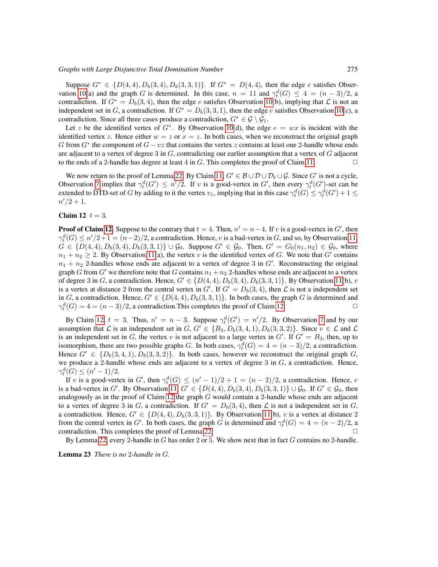Suppose  $G^* \in \{D(4,4), D_6(3,4), D_6(3,3,1)\}\$ . If  $G^* = D(4,4)$ , then the edge e satisfies Obser-vation [10\(](#page-7-3)a) and the graph G is determined. In this case,  $n = 11$  and  $\gamma_t^d(G) \leq 4 = (n-3)/2$ , a contradiction. If  $G^* = D_b(3, 4)$ , then the edge e satisfies Observation [10\(](#page-7-3)b), implying that  $\mathcal L$  is not an independent set in G, a contradiction. If  $G^* = D_b(3,3,1)$ , then the edge e satisfies Observation [10\(](#page-7-3)c), a contradiction. Since all three cases produce a contradiction,  $G^* \in \mathcal{G} \setminus \mathcal{G}_1$ .

Let z be the identified vertex of  $G^*$ . By Observation [10\(](#page-7-3)d), the edge  $e = wx$  is incident with the identified vertex z. Hence either  $w = z$  or  $x = z$ . In both cases, when we reconstruct the original graph G from  $G^*$  the component of  $G - vz$  that contains the vertex z contains at least one 2-handle whose ends are adjacent to a vertex of degree 3 in  $G$ , contradicting our earlier assumption that a vertex of  $G$  adjacent to the ends of a 2-handle has degree at least  $4$  in  $G$ . This completes the proof of Claim [11.](#page-19-1)

We now return to the proof of Lemma [22.](#page-19-0) By Claim [11,](#page-19-1)  $G' \in \mathcal{B} \cup \mathcal{D} \cup \mathcal{D}_b \cup \mathcal{G}$ . Since  $G'$  is not a cycle, Observation [7](#page-6-5) implies that  $\gamma_t^d(G') \leq n'/2$ . If v is a good-vertex in G', then every  $\gamma_t^d(G')$ -set can be extended to DTD-set of G by adding to it the vertex  $v_1$ , implying that in this case  $\gamma_t^d(G) \leq \gamma_t^d(G')+1 \leq$  $n'/2 + 1$ .

#### <span id="page-20-0"></span>**Claim 12**  $t = 3$ .

**Proof of Claim [12.](#page-20-0)** Suppose to the contrary that  $t = 4$ . Then,  $n' = n - 4$ . If v is a good-vertex in G', then  $\gamma_t^d(G) \le n'/2 + 1 = (n-2)/2$ , a contradiction. Hence, v is a bad-vertex in G, and so, by Observation [11,](#page-7-4)  $G \in \{D(4,4), D_0(3,4), D_0(3,3,1)\} \cup \mathcal{G}_0$ . Suppose  $G' \in \mathcal{G}_0$ . Then,  $G' = G_0(n_1, n_2) \in \mathcal{G}_0$ , where  $n_1 + n_2 \geq 2$ . By Observation [11\(](#page-7-4)a), the vertex v is the identified vertex of G. We note that G' contains  $n_1 + n_2$  2-handles whose ends are adjacent to a vertex of degree 3 in G'. Reconstructing the original graph G from G' we therefore note that G contains  $n_1 + n_2$  2-handles whose ends are adjacent to a vertex of degree 3 in G, a contradiction. Hence,  $G' \in \{D(4, 4), D_6(3, 4), D_6(3, 3, 1)\}\.$  By Observation [11\(](#page-7-4)b), v is a vertex at distance 2 from the central vertex in G'. If  $G' = D_b(3, 4)$ , then  $\mathcal L$  is not a independent set in G, a contradiction. Hence,  $G' \in \{D(4, 4), D_6(3, 3, 1)\}\.$  In both cases, the graph G is determined and  $\gamma_t^d(G) = 4 = (n-3)/2$ , a contradiction. This completes the proof of Claim [12.](#page-20-0)

By Claim [12,](#page-20-0)  $t = 3$ . Thus,  $n' = n - 3$ . Suppose  $\gamma_t^d(G') = n'/2$ . By Observation [7](#page-6-5) and by our assumption that L is an independent set in  $G, G' \in \{B_3, D_b(3, 4, 1), D_b(3, 3, 2)\}\.$  Since  $v \in \mathcal{L}$  and  $\mathcal{L}$ is an independent set in G, the vertex v is not adjacent to a large vertex in  $G'$ . If  $G' = B_3$ , then, up to isomorphism, there are two possible graphs G. In both cases,  $\gamma_t^d(G) = 4 = (n-3)/2$ , a contradiction. Hence  $G' \in \{D_b(3,4,1), D_b(3,3,2)\}\$ . In both cases, however we reconstruct the original graph G, we produce a 2-handle whose ends are adjacent to a vertex of degree  $3$  in  $G$ , a contradiction. Hence,  $\gamma_t^d(G) \le (n'-1)/2.$ 

If v is a good-vertex in G', then  $\gamma_t^d(G) \leq (n'-1)/2 + 1 = (n-2)/2$ , a contradiction. Hence, v is a bad-vertex in G'. By Observation [11,](#page-7-4)  $G' \in \{D(4,4), D_0(3,4), D_0(3,3,1)\} \cup \mathcal{G}_0$ . If  $G' \in \mathcal{G}_0$ , then analogously as in the proof of Claim [12](#page-20-0) the graph  $G$  would contain a 2-handle whose ends are adjacent to a vertex of degree 3 in G, a contradiction. If  $G' = D<sub>b</sub>(3, 4)$ , then L is not a independent set in G, a contradiction. Hence,  $G' \in \{D(4, 4), D_6(3, 3, 1)\}\$ . By Observation [11\(](#page-7-4)b), v is a vertex at distance 2 from the central vertex in G'. In both cases, the graph G is determined and  $\gamma_t^d(G) = 4 = (n-2)/2$ , a contradiction. This completes the proof of Lemma [22.](#page-19-0)  $\Box$ 

By Lemma [22,](#page-19-0) every 2-handle in G has order 2 or 5. We show next that in fact G contains no 2-handle.

<span id="page-20-1"></span>Lemma 23 *There is no* 2*-handle in* G*.*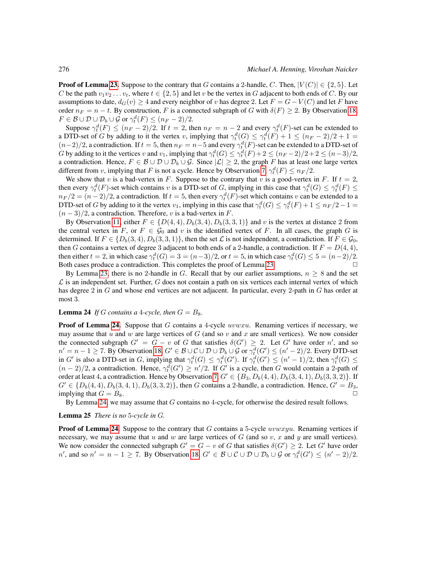**Proof of Lemma [23.](#page-20-1)** Suppose to the contrary that G contains a 2-handle, C. Then,  $|V(C)| \in \{2, 5\}$ . Let C be the path  $v_1v_2 \ldots v_t$ , where  $t \in \{2, 5\}$  and let v be the vertex in G adjacent to both ends of C. By our assumptions to date,  $d_G(v) \geq 4$  and every neighbor of v has degree 2. Let  $F = G - V(C)$  and let F have order  $n_F = n - t$ . By construction, F is a connected subgraph of G with  $\delta(F) \geq 2$ . By Observation [18,](#page-8-3)  $F \in \mathcal{B} \cup \mathcal{D} \cup \mathcal{D}_b \cup \mathcal{G}$  or  $\gamma_t^d(F) \leq (n_F - 2)/2$ .

Suppose  $\gamma_t^d(F) \le (n_F - 2)/2$ . If  $t = 2$ , then  $n_F = n - 2$  and every  $\gamma_t^d(F)$ -set can be extended to a DTD-set of G by adding to it the vertex v, implying that  $\gamma_t^d(G) \leq \gamma_t^d(F) + 1 \leq (n_F - 2)/2 + 1 =$  $(n-2)/2$ , a contradiction. If  $t = 5$ , then  $n_F = n-5$  and every  $\gamma_t^d(F)$ -set can be extended to a DTD-set of G by adding to it the vertices v and  $v_1$ , implying that  $\gamma_t^d(G) \leq \gamma_t^d(F) + 2 \leq (n_F-2)/2 + 2 \leq (n-3)/2$ , a contradiction. Hence,  $F \in \mathcal{B} \cup \mathcal{D} \cup \mathcal{D}_b \cup \mathcal{G}$ . Since  $|\mathcal{L}| \geq 2$ , the graph F has at least one large vertex different from v, implying that F is not a cycle. Hence by Observation [7,](#page-6-5)  $\gamma_t^d(F) \le n_F/2$ .

We show that v is a bad-vertex in F. Suppose to the contrary that v is a good-vertex in F. If  $t = 2$ , then every  $\gamma_t^d(F)$ -set which contains v is a DTD-set of G, implying in this case that  $\gamma_t^d(G) \leq \gamma_t^d(F) \leq$  $n_F/2 = (n-2)/2$ , a contradiction. If  $t = 5$ , then every  $\gamma_t^d(F)$ -set which contains v can be extended to a DTD-set of G by adding to it the vertex  $v_1$ , implying in this case that  $\gamma_t^d(G) \leq \gamma_t^d(F) + 1 \leq n_F/2 - 1 =$  $(n-3)/2$ , a contradiction. Therefore, v is a bad-vertex in F.

By Observation [11,](#page-7-4) either  $F \in \{D(4, 4), D_6(3, 4), D_6(3, 3, 1)\}\$  and v is the vertex at distance 2 from the central vertex in F, or  $F \in \mathcal{G}_0$  and v is the identified vertex of F. In all cases, the graph G is determined. If  $F \in \{D_b(3, 4), D_b(3, 3, 1)\}\$ , then the set L is not independent, a contradiction. If  $F \in \mathcal{G}_0$ , then G contains a vertex of degree 3 adjacent to both ends of a 2-handle, a contradiction. If  $F = D(4, 4)$ , then either  $t = 2$ , in which case  $\gamma_t^d(G) = 3 = (n-3)/2$ , or  $t = 5$ , in which case  $\gamma_t^d(G) \leq 5 = (n-2)/2$ . Both cases produce a contradiction. This completes the proof of Lemma [23.](#page-20-1)

By Lemma [23,](#page-20-1) there is no 2-handle in G. Recall that by our earlier assumptions,  $n \geq 8$  and the set  $\mathcal L$  is an independent set. Further, G does not contain a path on six vertices each internal vertex of which has degree 2 in G and whose end vertices are not adjacent. In particular, every 2-path in G has order at most 3.

#### <span id="page-21-0"></span>**Lemma 24** If G contains a 4-cycle, then  $G = B_8$ .

**Proof of Lemma [24.](#page-21-0)** Suppose that G contains a 4-cycle uvwxu. Renaming vertices if necessary, we may assume that u and w are large vertices of  $G$  (and so v and x are small vertices). We now consider the connected subgraph  $G' = G - v$  of G that satisfies  $\delta(G') \geq 2$ . Let G' have order n', and so  $n' = n - 1 \ge 7$ . By Observation [18,](#page-8-3)  $G' \in \mathcal{B} \cup \mathcal{C} \cup \mathcal{D} \cup \mathcal{D}_b \cup \mathcal{G}$  or  $\gamma_t^d(G') \le (n' - 2)/2$ . Every DTD-set in G' is also a DTD-set in G, implying that  $\gamma_t^d(G) \leq \gamma_t^d(G')$ . If  $\gamma_t^d(G') \leq (n'-1)/2$ , then  $\gamma_t^d(G) \leq$  $(n-2)/2$ , a contradiction. Hence,  $\gamma_t^d(G') \ge n'/2$ . If G' is a cycle, then G would contain a 2-path of order at least 4, a contradiction. Hence by Observation [7,](#page-6-5)  $G' \in \{B_3, D_b(4, 4), D_b(3, 4, 1), D_b(3, 3, 2)\}$ . If  $G' \in \{D_b(4, 4), D_b(3, 4, 1), D_b(3, 3, 2)\}\$ , then G contains a 2-handle, a contradiction. Hence,  $G' = B_3$ , implying that  $G = B_8$ .

By Lemma [24,](#page-21-0) we may assume that  $G$  contains no 4-cycle, for otherwise the desired result follows.

#### <span id="page-21-1"></span>Lemma 25 *There is no* 5*-cycle in* G*.*

**Proof of Lemma [24.](#page-21-0)** Suppose to the contrary that  $G$  contains a 5-cycle *uvwxyu*. Renaming vertices if necessary, we may assume that  $u$  and  $w$  are large vertices of  $G$  (and so  $v$ ,  $x$  and  $y$  are small vertices). We now consider the connected subgraph  $G' = G - v$  of G that satisfies  $\delta(G') \geq 2$ . Let G' have order n', and so  $n' = n - 1 \ge 7$ . By Observation [18,](#page-8-3)  $G' \in \mathcal{B} \cup \mathcal{C} \cup \mathcal{D} \cup \mathcal{D}_b \cup \mathcal{G}$  or  $\gamma_t^d(G') \le (n' - 2)/2$ .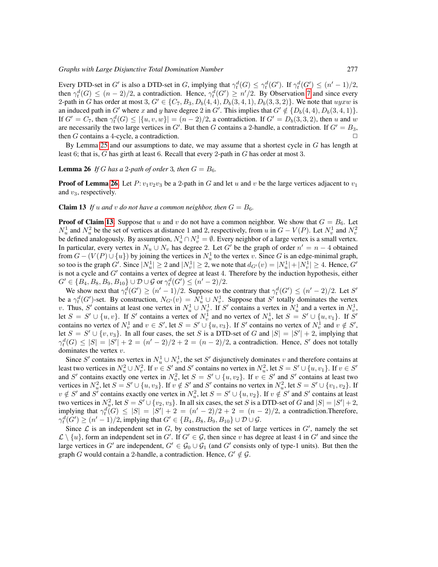Every DTD-set in G' is also a DTD-set in G, implying that  $\gamma_t^d(G) \leq \gamma_t^d(G')$ . If  $\gamma_t^d(G') \leq (n'-1)/2$ , then  $\gamma_t^d(G) \le (n-2)/2$ , a contradiction. Hence,  $\gamma_t^d(G') \ge n'/2$ . By Observation [7](#page-6-5) and since every 2-path in G has order at most 3,  $G' \in \{C_7, B_3, D_0(4, 4), D_0(3, 4, 1), D_0(3, 3, 2)\}$ . We note that uyxw is an induced path in G' where x and y have degree 2 in G'. This implies that  $G' \notin \{D_b(4,4), D_b(3,4,1)\}.$ If  $G' = C_7$ , then  $\gamma_t^d(G) \le |\{u, v, w\}| = (n-2)/2$ , a contradiction. If  $G' = D_b(3, 3, 2)$ , then u and w are necessarily the two large vertices in  $G'$ . But then G contains a 2-handle, a contradiction. If  $G' = B_3$ , then  $G$  contains a 4-cycle, a contradiction.

By Lemma [25](#page-21-1) and our assumptions to date, we may assume that a shortest cycle in G has length at least 6; that is, G has girth at least 6. Recall that every 2-path in G has order at most 3.

#### <span id="page-22-0"></span>**Lemma 26** *If* G has a 2-path of order 3, then  $G = B_6$ .

**Proof of Lemma [26.](#page-22-0)** Let  $P: v_1v_2v_3$  be a 2-path in G and let u and v be the large vertices adjacent to  $v_1$ and  $v_3$ , respectively.

#### <span id="page-22-1"></span>**Claim 13** If u and v do not have a common neighbor, then  $G = B_6$ .

**Proof of Claim [13.](#page-22-1)** Suppose that u and v do not have a common neighbor. We show that  $G = B_6$ . Let  $N_u^1$  and  $N_u^2$  be the set of vertices at distance 1 and 2, respectively, from u in  $G - V(P)$ . Let  $N_v^1$  and  $N_v^2$ be defined analogously. By assumption,  $N_u^1 \cap N_v^1 = \emptyset$ . Every neighbor of a large vertex is a small vertex. In particular, every vertex in  $N_u \cup N_v$  has degree 2. Let G' be the graph of order  $n' = n - 4$  obtained from  $G - (V(P) \cup \{u\})$  by joining the vertices in  $N_u^1$  to the vertex v. Since G is an edge-minimal graph, so too is the graph G'. Since  $|N_u^1| \ge 2$  and  $|N_v^1| \ge 2$ , we note that  $d_{G'}(v) = |N_u^1| + |N_v^1| \ge 4$ . Hence, G' is not a cycle and  $G'$  contains a vertex of degree at least 4. Therefore by the induction hypothesis, either  $G' \in \{B_4, B_8, B_9, B_{10}\} \cup \mathcal{D} \cup \mathcal{G}$  or  $\gamma_t^d(G') \leq (n'-2)/2$ .

We show next that  $\gamma_t^d(G') \ge (n'-1)/2$ . Suppose to the contrary that  $\gamma_t^d(G') \le (n'-2)/2$ . Let S' be a  $\gamma_t^d(G')$ -set. By construction,  $N_{G'}(v) = N_u^1 \cup N_v^1$ . Suppose that S' totally dominates the vertex v. Thus, S' contains at least one vertex in  $N_u^1 \cup N_v^1$ . If S' contains a vertex in  $N_u^1$  and a vertex in  $N_v^1$ , let  $S = S' \cup \{u, v\}$ . If S' contains a vertex of  $N_v^1$  and no vertex of  $N_u^1$ , let  $S = S' \cup \{u, v_1\}$ . If S' contains no vertex of  $N_v^1$  and  $v \in S'$ , let  $S = S' \cup \{u, v_3\}$ . If S' contains no vertex of  $N_v^1$  and  $v \notin S'$ , let  $S = S' \cup \{v, v_3\}$ . In all four cases, the set S is a DTD-set of G and  $|S| = |S'| + 2$ , implying that  $\gamma_t^d(G) \leq |S| = |S'| + 2 = (n' - 2)/2 + 2 = (n - 2)/2$ , a contradiction. Hence, S' does not totally dominates the vertex  $v$ .

Since S' contains no vertex in  $N_u^1 \cup N_v^1$ , the set S' disjunctively dominates v and therefore contains at least two vertices in  $N_u^2 \cup N_v^2$ . If  $v \in S'$  and  $S'$  contains no vertex in  $N_u^2$ , let  $S = S' \cup \{u, v_1\}$ . If  $v \in S'$ and S' contains exactly one vertex in  $N_u^2$ , let  $S = S' \cup \{u, v_2\}$ . If  $v \in S'$  and S' contains at least two vertices in  $N_u^2$ , let  $S = S' \cup \{u, v_3\}$ . If  $v \notin S'$  and  $S'$  contains no vertex in  $N_u^2$ , let  $S = S' \cup \{v_1, v_2\}$ . If  $v \notin S'$  and S' contains exactly one vertex in  $N_u^2$ , let  $S = S' \cup \{u, v_2\}$ . If  $v \notin S'$  and S' contains at least two vertices in  $N_u^2$ , let  $S = S' \cup \{v_2, v_3\}$ . In all six cases, the set S is a DTD-set of G and  $|S| = |S'| + 2$ , implying that  $\gamma_t^d(G) \leq |S| = |S'| + 2 = (n' - 2)/2 + 2 = (n - 2)/2$ , a contradiction. Therefore,  $\gamma_t^d(G') \ge (n'-1)/2$ , implying that  $G' \in \{B_4, B_8, B_9, B_{10}\} \cup \mathcal{D} \cup \mathcal{G}$ .

Since  $\mathcal L$  is an independent set in  $G$ , by construction the set of large vertices in  $G'$ , namely the set  $\mathcal{L} \setminus \{u\}$ , form an independent set in G'. If  $G' \in \mathcal{G}$ , then since v has degree at least 4 in G' and since the large vertices in G' are independent,  $G' \in \mathcal{G}_0 \cup \mathcal{G}_1$  (and G' consists only of type-1 units). But then the graph G would contain a 2-handle, a contradiction. Hence,  $G' \notin \mathcal{G}$ .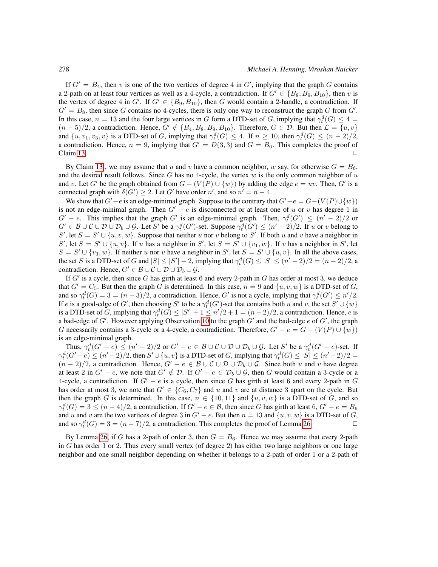If  $G' = B_4$ , then v is one of the two vertices of degree 4 in  $G'$ , implying that the graph G contains a 2-path on at least four vertices as well as a 4-cycle, a contradiction. If  $G' \in \{B_8, B_9, B_{10}\}$ , then v is the vertex of degree 4 in G'. If  $G' \in \{B_9, B_{10}\}$ , then G would contain a 2-handle, a contradiction. If  $G' = B_8$ , then since G contains no 4-cycles, there is only one way to reconstruct the graph G from G'. In this case,  $n = 13$  and the four large vertices in G form a DTD-set of G, implying that  $\gamma_t^d(G) \leq 4 =$  $(n-5)/2$ , a contradiction. Hence,  $G' \notin \{B_4, B_8, B_9, B_{10}\}.$  Therefore,  $G \in \mathcal{D}$ . But then  $\mathcal{L} = \{u, v\}$ and  $\{u, v_1, v_3, v\}$  is a DTD-set of G, implying that  $\gamma_t^d(G) \leq 4$ . If  $n \geq 10$ , then  $\gamma_t^d(G) \leq (n-2)/2$ , a contradiction. Hence,  $n = 9$ , implying that  $G' = D(3, 3)$  and  $G = B_6$ . This completes the proof of Claim [13.](#page-22-1)  $\Box$ 

By Claim [13](#page-22-1), we may assume that u and v have a common neighbor, w say, for otherwise  $G = B_6$ , and the desired result follows. Since G has no 4-cycle, the vertex  $w$  is the only common neighbor of  $u$ and v. Let G' be the graph obtained from  $G - (V(P) \cup \{w\})$  by adding the edge  $e = uv$ . Then, G' is a connected graph with  $\delta(G') \geq 2$ . Let G' have order n', and so  $n' = n - 4$ .

We show that  $G'-e$  is an edge-minimal graph. Suppose to the contrary that  $G'-e = G-(V(P) \cup \{w\})$ is not an edge-minimal graph. Then  $G' - e$  is disconnected or at least one of u or v has degree 1 in  $G' - e$ . This implies that the graph G' is an edge-minimal graph. Then,  $\gamma_t^d(G') \leq (n' - 2)/2$  or  $G' \in \mathcal{B} \cup \mathcal{C} \cup \mathcal{D} \cup \mathcal{D}_b \cup \mathcal{G}$ . Let S' be a  $\gamma_t^d(G')$ -set. Suppose  $\gamma_t^d(G') \leq (n'-2)/2$ . If u or v belong to S', let  $S = S' \cup \{u, v, w\}$ . Suppose that neither u nor v belong to S'. If both u and v have a neighbor in S', let  $S = S' \cup \{u, v\}$ . If u has a neighbor in S', let  $S = S' \cup \{v_1, w\}$ . If v has a neighbor in S', let  $S = S' \cup \{v_3, w\}$ . If neither u nor v have a neighbor in S', let  $S = S' \cup \{u, v\}$ . In all the above cases, the set S is a DTD-set of G and  $|S| \leq |S'| - 2$ , implying that  $\gamma_t^d(G) \leq |S| \leq (n' - 2)/2 = (n - 2)/2$ , a contradiction. Hence,  $G' \in \mathcal{B} \cup \mathcal{C} \cup \mathcal{D} \cup \mathcal{D}_b \cup \mathcal{G}$ .

If  $G'$  is a cycle, then since G has girth at least 6 and every 2-path in G has order at most 3, we deduce that  $G' = C_5$ . But then the graph G is determined. In this case,  $n = 9$  and  $\{u, v, w\}$  is a DTD-set of G, and so  $\gamma_t^d(G) = 3 = (n-3)/2$ , a contradiction. Hence, G' is not a cycle, implying that  $\gamma_t^d(G') \le n'/2$ . If e is a good-edge of G', then choosing S' to be a  $\gamma_t^d(G')$ -set that contains both u and v, the set  $S' \cup \{w\}$ is a DTD-set of G, implying that  $\gamma_t^d(G) \leq |S'| + 1 \leq n'/2 + 1 = (n-2)/2$ , a contradiction. Hence, e is a bad-edge of  $G'$ . However applying Observation [10](#page-7-3) to the graph  $G'$  and the bad-edge e of  $G'$ , the graph G necessarily contains a 3-cycle or a 4-cycle, a contradiction. Therefore,  $G' - e = G - (V(P) \cup \{w\})$ is an edge-minimal graph.

Thus,  $\gamma_t^d(G'-e) \leq (n'-2)/2$  or  $G'-e \in \mathcal{B} \cup \mathcal{C} \cup \mathcal{D} \cup \mathcal{D}_b \cup \mathcal{G}$ . Let S' be a  $\gamma_t^d(G'-e)$ -set. If  $\gamma_t^d(G'-e) \leq (n'-2)/2$ , then  $S' \cup \{u,v\}$  is a DTD-set of G, implying that  $\gamma_t^d(G) \leq |S| \leq (n'-2)/2 = 1$  $(n-2)/2$ , a contradiction. Hence,  $G' - e \in \mathcal{B} \cup \mathcal{C} \cup \mathcal{D} \cup \mathcal{D}_b \cup \mathcal{G}$ . Since both u and v have degree at least 2 in  $G' - e$ , we note that  $G' \notin \mathcal{D}$ . If  $G' - e \in \mathcal{D}_b \cup \mathcal{G}$ , then G would contain a 3-cycle or a 4-cycle, a contradiction. If  $G' - e$  is a cycle, then since G has girth at least 6 and every 2-path in G has order at most 3, we note that  $G' \in \{C_6, C_7\}$  and u and v are at distance 3 apart on the cycle. But then the graph G is determined. In this case,  $n \in \{10, 11\}$  and  $\{u, v, w\}$  is a DTD-set of G, and so  $\gamma_t^d(G) = 3 \le (n-4)/2$ , a contradiction. If  $G' - e \in \mathcal{B}$ , then since G has girth at least 6,  $G' - e = B_6$ and u and v are the two vertices of degree 3 in  $G' - e$ . But then  $n = 13$  and  $\{u, v, w\}$  is a DTD-set of G, and so  $\gamma_t^d(G) = 3 = (n - 7)/2$ , a contradiction. This completes the proof of Lemma [26.](#page-22-0)

By Lemma [26,](#page-22-0) if G has a 2-path of order 3, then  $G = B_6$ . Hence we may assume that every 2-path in G has order 1 or 2. Thus every small vertex (of degree 2) has either two large neighbors or one large neighbor and one small neighbor depending on whether it belongs to a 2-path of order 1 or a 2-path of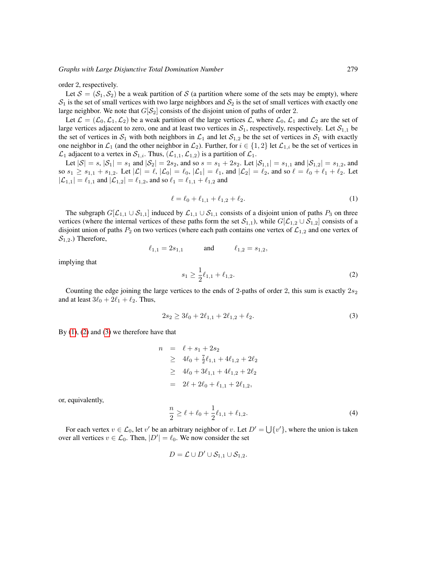order 2, respectively.

Let  $S = (S_1, S_2)$  be a weak partition of S (a partition where some of the sets may be empty), where  $S_1$  is the set of small vertices with two large neighbors and  $S_2$  is the set of small vertices with exactly one large neighbor. We note that  $G[S_2]$  consists of the disjoint union of paths of order 2.

Let  $\mathcal{L} = (\mathcal{L}_0, \mathcal{L}_1, \mathcal{L}_2)$  be a weak partition of the large vertices  $\mathcal{L}$ , where  $\mathcal{L}_0$ ,  $\mathcal{L}_1$  and  $\mathcal{L}_2$  are the set of large vertices adjacent to zero, one and at least two vertices in  $S_1$ , respectively, respectively. Let  $S_{1,1}$  be the set of vertices in  $S_1$  with both neighbors in  $\mathcal{L}_1$  and let  $S_{1,2}$  be the set of vertices in  $S_1$  with exactly one neighbor in  $\mathcal{L}_1$  (and the other neighbor in  $\mathcal{L}_2$ ). Further, for  $i \in \{1,2\}$  let  $\mathcal{L}_{1,i}$  be the set of vertices in  $\mathcal{L}_1$  adjacent to a vertex in  $\mathcal{S}_{1,i}$ . Thus,  $(\mathcal{L}_{1,1}, \mathcal{L}_{1,2})$  is a partition of  $\mathcal{L}_1$ .

Let  $|S| = s$ ,  $|S_1| = s_1$  and  $|S_2| = 2s_2$ , and so  $s = s_1 + 2s_2$ . Let  $|S_{1,1}| = s_{1,1}$  and  $|S_{1,2}| = s_{1,2}$ , and so  $s_1 \geq s_{1,1} + s_{1,2}$ . Let  $|\mathcal{L}| = \ell$ ,  $|\mathcal{L}_0| = \ell_0$ ,  $|\mathcal{L}_1| = \ell_1$ , and  $|\mathcal{L}_2| = \ell_2$ , and so  $\ell = \ell_0 + \ell_1 + \ell_2$ . Let  $|\mathcal{L}_{1,1}| = \ell_{1,1}$  and  $|\mathcal{L}_{1,2}| = \ell_{1,2}$ , and so  $\ell_1 = \ell_{1,1} + \ell_{1,2}$  and

<span id="page-24-0"></span>
$$
\ell = \ell_0 + \ell_{1,1} + \ell_{1,2} + \ell_2. \tag{1}
$$

The subgraph  $G[\mathcal{L}_{1,1} \cup \mathcal{S}_{1,1}]$  induced by  $\mathcal{L}_{1,1} \cup \mathcal{S}_{1,1}$  consists of a disjoint union of paths  $P_3$  on three vertices (where the internal vertices of these paths form the set  $S_{1,1}$ ), while  $G[\mathcal{L}_{1,2} \cup S_{1,2}]$  consists of a disjoint union of paths  $P_2$  on two vertices (where each path contains one vertex of  $\mathcal{L}_{1,2}$  and one vertex of  $S_{1,2}$ .) Therefore,

$$
\ell_{1,1} = 2s_{1,1}
$$
 and  $\ell_{1,2} = s_{1,2}$ ,

implying that

<span id="page-24-1"></span>
$$
s_1 \ge \frac{1}{2}\ell_{1,1} + \ell_{1,2}.\tag{2}
$$

Counting the edge joining the large vertices to the ends of 2-paths of order 2, this sum is exactly  $2s_2$ and at least  $3\ell_0 + 2\ell_1 + \ell_2$ . Thus,

<span id="page-24-2"></span>
$$
2s_2 \ge 3\ell_0 + 2\ell_{1,1} + 2\ell_{1,2} + \ell_2. \tag{3}
$$

By  $(1)$ ,  $(2)$  and  $(3)$  we therefore have that

$$
n = \ell + s_1 + 2s_2
$$
  
\n
$$
\geq 4\ell_0 + \frac{7}{2}\ell_{1,1} + 4\ell_{1,2} + 2\ell_2
$$
  
\n
$$
\geq 4\ell_0 + 3\ell_{1,1} + 4\ell_{1,2} + 2\ell_2
$$
  
\n
$$
= 2\ell + 2\ell_0 + \ell_{1,1} + 2\ell_{1,2},
$$

or, equivalently,

<span id="page-24-3"></span>
$$
\frac{n}{2} \ge \ell + \ell_0 + \frac{1}{2}\ell_{1,1} + \ell_{1,2}.\tag{4}
$$

For each vertex  $v \in \mathcal{L}_0$ , let  $v'$  be an arbitrary neighbor of v. Let  $D' = \bigcup \{v'\}$ , where the union is taken over all vertices  $v \in \mathcal{L}_0$ . Then,  $|D'| = \ell_0$ . We now consider the set

$$
D = \mathcal{L} \cup D' \cup \mathcal{S}_{1,1} \cup \mathcal{S}_{1,2}.
$$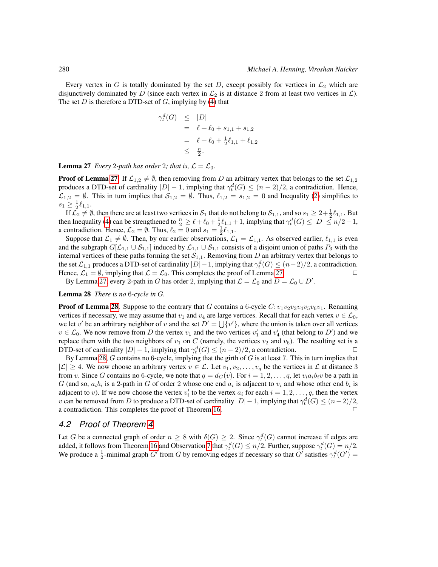Every vertex in G is totally dominated by the set D, except possibly for vertices in  $\mathcal{L}_2$  which are disjunctively dominated by D (since each vertex in  $\mathcal{L}_2$  is at distance 2 from at least two vertices in  $\mathcal{L}$ ). The set  $D$  is therefore a DTD-set of  $G$ , implying by [\(4\)](#page-24-3) that

$$
\begin{array}{rcl}\n\gamma_t^d(G) & \leq & |D| \\
& = & \ell + \ell_0 + s_{1,1} + s_{1,2} \\
& = & \ell + \ell_0 + \frac{1}{2}\ell_{1,1} + \ell_{1,2} \\
& \leq & \frac{n}{2}.\n\end{array}
$$

<span id="page-25-1"></span>**Lemma 27** *Every* 2-path has order 2; that is,  $\mathcal{L} = \mathcal{L}_0$ .

**Proof of Lemma [27.](#page-25-1)** If  $\mathcal{L}_{1,2} \neq \emptyset$ , then removing from D an arbitrary vertex that belongs to the set  $\mathcal{L}_{1,2}$ produces a DTD-set of cardinality  $|D| - 1$ , implying that  $\gamma_t^d(G) \le (n-2)/2$ , a contradiction. Hence,  $\mathcal{L}_{1,2} = \emptyset$ . This in turn implies that  $\mathcal{S}_{1,2} = \emptyset$ . Thus,  $\ell_{1,2} = s_{1,2} = 0$  and Inequality [\(2\)](#page-24-1) simplifies to  $s_1 \geq \frac{1}{2}\ell_{1,1}.$ 

If  $\tilde{\mathcal{L}_2} \neq \emptyset$ , then there are at least two vertices in  $\mathcal{S}_1$  that do not belong to  $\mathcal{S}_{1,1}$ , and so  $s_1 \geq 2 + \frac{1}{2}\ell_{1,1}$ . But then Inequality [\(4\)](#page-24-3) can be strengthened to  $\frac{n}{2} \geq \ell + \ell_0 + \frac{1}{2} \ell_{1,1} + 1$ , implying that  $\gamma_t^d(G) \leq |D| \leq n/2 - 1$ , a contradiction. Hence,  $\mathcal{L}_2 = \emptyset$ . Thus,  $\ell_2 = 0$  and  $s_1 = \frac{1}{2}\ell_{1,1}$ .

Suppose that  $\mathcal{L}_1 \neq \emptyset$ . Then, by our earlier observations,  $\mathcal{L}_1 = \mathcal{L}_{1,1}$ . As observed earlier,  $\ell_{1,1}$  is even and the subgraph  $G[\mathcal{L}_{1,1} \cup \mathcal{S}_{1,1}]$  induced by  $\mathcal{L}_{1,1} \cup \mathcal{S}_{1,1}$  consists of a disjoint union of paths  $P_3$  with the internal vertices of these paths forming the set  $S_{1,1}$ . Removing from D an arbitrary vertex that belongs to the set  $\mathcal{L}_{1,1}$  produces a DTD-set of cardinality  $|D|-1$ , implying that  $\gamma_t^d(G) \leq (n-2)/2$ , a contradiction. Hence,  $\mathcal{L}_1 = \emptyset$ , implying that  $\mathcal{L} = \mathcal{L}_0$ . This completes the proof of Lemma [27.](#page-25-1)

By Lemma [27,](#page-25-1) every 2-path in G has order 2, implying that  $\mathcal{L} = \mathcal{L}_0$  and  $D = \mathcal{L}_0 \cup D'$ .

<span id="page-25-2"></span>Lemma 28 *There is no* 6*-cycle in* G*.*

**Proof of Lemma [28.](#page-25-2)** Suppose to the contrary that G contains a 6-cycle  $C: v_1v_2v_3v_4v_5v_6v_1$ . Renaming vertices if necessary, we may assume that  $v_1$  and  $v_4$  are large vertices. Recall that for each vertex  $v \in \mathcal{L}_0$ , we let v' be an arbitrary neighbor of v and the set  $D' = \bigcup \{v'\}$ , where the union is taken over all vertices  $v \in \mathcal{L}_0$ . We now remove from D the vertex  $v_1$  and the two vertices  $v'_1$  and  $v'_4$  (that belong to D') and we replace them with the two neighbors of  $v_1$  on C (namely, the vertices  $v_2$  and  $v_6$ ). The resulting set is a DTD-set of cardinality  $|D|-1$ , implying that  $\gamma_t^d(G) \le (n-2)/2$ , a contradiction.

By Lemma [28,](#page-25-2)  $G$  contains no 6-cycle, implying that the girth of  $G$  is at least 7. This in turn implies that  $|\mathcal{L}| \geq 4$ . We now choose an arbitrary vertex  $v \in \mathcal{L}$ . Let  $v_1, v_2, \ldots, v_q$  be the vertices in  $\mathcal{L}$  at distance 3 from v. Since G contains no 6-cycle, we note that  $q = d_G(v)$ . For  $i = 1, 2, \ldots, q$ , let  $v_i a_i b_i v$  be a path in G (and so,  $a_i b_i$  is a 2-path in G of order 2 whose one end  $a_i$  is adjacent to  $v_i$  and whose other end  $b_i$  is adjacent to v). If we now choose the vertex  $v'_i$  to be the vertex  $a_i$  for each  $i = 1, 2, ..., q$ , then the vertex v can be removed from D to produce a DTD-set of cardinality  $|D|-1$ , implying that  $\gamma_t^d(G) \le (n-2)/2$ , a contradiction. This completes the proof of Theorem [16.](#page-8-1)  $\Box$ 

#### <span id="page-25-0"></span>*4.2 Proof of Theorem [4](#page-6-0)*

Let G be a connected graph of order  $n \geq 8$  with  $\delta(G) \geq 2$ . Since  $\gamma_t^d(G)$  cannot increase if edges are added, it follows from Theorem [16](#page-8-1) and Observation [7](#page-6-5) that  $\gamma_t^d(G) \leq n/2$ . Further, suppose  $\gamma_t^d(G) = n/2$ . We produce a  $\frac{1}{2}$ -minimal graph G' from G by removing edges if necessary so that G' satisfies  $\gamma_t^d(G')$  =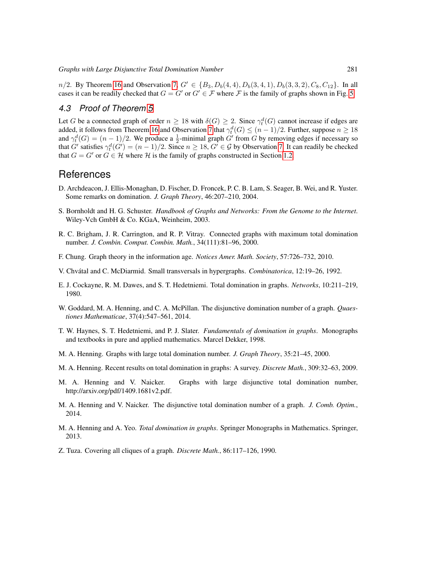$n/2$ . By Theorem [16](#page-8-1) and Observation [7,](#page-6-5)  $G' \in \{B_3, D_b(4, 4), D_b(3, 4, 1), D_b(3, 3, 2), C_8, C_{12}\}$ . In all cases it can be readily checked that  $G = G'$  or  $G' \in \mathcal{F}$  where  $\mathcal{F}$  is the family of graphs shown in Fig. [5.](#page-5-1)

#### <span id="page-26-12"></span>*4.3 Proof of Theorem [5](#page-6-1)*

Let G be a connected graph of order  $n \geq 18$  with  $\delta(G) \geq 2$ . Since  $\gamma_t^d(G)$  cannot increase if edges are added, it follows from Theorem [16](#page-8-1) and Observation [7](#page-6-5) that  $\gamma_t^d(G) \le (n-1)/2$ . Further, suppose  $n \ge 18$ and  $\gamma_t^d(G) = (n-1)/2$ . We produce a  $\frac{1}{2}$ -minimal graph G' from G by removing edges if necessary so that G' satisfies  $\gamma_t^d(G') = (n-1)/2$ . Since  $n \geq 18$ ,  $G' \in \mathcal{G}$  by Observation [7.](#page-6-5) It can readily be checked that  $G = G'$  or  $G \in \mathcal{H}$  where  $\mathcal{H}$  is the family of graphs constructed in Section [1.2.](#page-3-0)

### **References**

- <span id="page-26-9"></span>D. Archdeacon, J. Ellis-Monaghan, D. Fischer, D. Froncek, P. C. B. Lam, S. Seager, B. Wei, and R. Yuster. Some remarks on domination. *J. Graph Theory*, 46:207–210, 2004.
- <span id="page-26-4"></span>S. Bornholdt and H. G. Schuster. *Handbook of Graphs and Networks: From the Genome to the Internet*. Wiley-Vch GmbH & Co. KGaA, Weinheim, 2003.
- R. C. Brigham, J. R. Carrington, and R. P. Vitray. Connected graphs with maximum total domination number. *J. Combin. Comput. Combin. Math.*, 34(111):81–96, 2000.
- <span id="page-26-5"></span>F. Chung. Graph theory in the information age. *Notices Amer. Math. Society*, 57:726–732, 2010.
- <span id="page-26-10"></span>V. Chvátal and C. McDiarmid. Small transversals in hypergraphs. *Combinatorica*, 12:19–26, 1992.
- <span id="page-26-7"></span>E. J. Cockayne, R. M. Dawes, and S. T. Hedetniemi. Total domination in graphs. *Networks*, 10:211–219, 1980.
- <span id="page-26-6"></span>W. Goddard, M. A. Henning, and C. A. McPillan. The disjunctive domination number of a graph. *Quaestiones Mathematicae*, 37(4):547–561, 2014.
- <span id="page-26-1"></span>T. W. Haynes, S. T. Hedetniemi, and P. J. Slater. *Fundamentals of domination in graphs*. Monographs and textbooks in pure and applied mathematics. Marcel Dekker, 1998.
- <span id="page-26-8"></span>M. A. Henning. Graphs with large total domination number. *J. Graph Theory*, 35:21–45, 2000.
- <span id="page-26-2"></span>M. A. Henning. Recent results on total domination in graphs: A survey. *Discrete Math.*, 309:32–63, 2009.
- <span id="page-26-13"></span>M. A. Henning and V. Naicker. Graphs with large disjunctive total domination number, http://arxiv.org/pdf/1409.1681v2.pdf.
- <span id="page-26-0"></span>M. A. Henning and V. Naicker. The disjunctive total domination number of a graph. *J. Comb. Optim.*, 2014.
- <span id="page-26-3"></span>M. A. Henning and A. Yeo. *Total domination in graphs*. Springer Monographs in Mathematics. Springer, 2013.
- <span id="page-26-11"></span>Z. Tuza. Covering all cliques of a graph. *Discrete Math.*, 86:117–126, 1990.